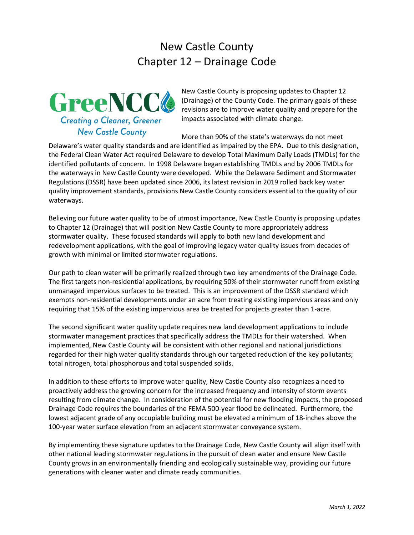# New Castle County Chapter 12 – Drainage Code



New Castle County is proposing updates to Chapter 12 (Drainage) of the County Code. The primary goals of these revisions are to improve water quality and prepare for the impacts associated with climate change.

More than 90% of the state's waterways do not meet

Delaware's water quality standards and are identified as impaired by the EPA. Due to this designation, the Federal Clean Water Act required Delaware to develop Total Maximum Daily Loads (TMDLs) for the identified pollutants of concern. In 1998 Delaware began establishing TMDLs and by 2006 TMDLs for the waterways in New Castle County were developed. While the Delaware Sediment and Stormwater Regulations (DSSR) have been updated since 2006, its latest revision in 2019 rolled back key water quality improvement standards, provisions New Castle County considers essential to the quality of our waterways.

Believing our future water quality to be of utmost importance, New Castle County is proposing updates to Chapter 12 (Drainage) that will position New Castle County to more appropriately address stormwater quality. These focused standards will apply to both new land development and redevelopment applications, with the goal of improving legacy water quality issues from decades of growth with minimal or limited stormwater regulations.

Our path to clean water will be primarily realized through two key amendments of the Drainage Code. The first targets non-residential applications, by requiring 50% of their stormwater runoff from existing unmanaged impervious surfaces to be treated. This is an improvement of the DSSR standard which exempts non-residential developments under an acre from treating existing impervious areas and only requiring that 15% of the existing impervious area be treated for projects greater than 1-acre.

The second significant water quality update requires new land development applications to include stormwater management practices that specifically address the TMDLs for their watershed. When implemented, New Castle County will be consistent with other regional and national jurisdictions regarded for their high water quality standards through our targeted reduction of the key pollutants; total nitrogen, total phosphorous and total suspended solids.

In addition to these efforts to improve water quality, New Castle County also recognizes a need to proactively address the growing concern for the increased frequency and intensity of storm events resulting from climate change. In consideration of the potential for new flooding impacts, the proposed Drainage Code requires the boundaries of the FEMA 500-year flood be delineated. Furthermore, the lowest adjacent grade of any occupiable building must be elevated a minimum of 18-inches above the 100-year water surface elevation from an adjacent stormwater conveyance system.

By implementing these signature updates to the Drainage Code, New Castle County will align itself with other national leading stormwater regulations in the pursuit of clean water and ensure New Castle County grows in an environmentally friending and ecologically sustainable way, providing our future generations with cleaner water and climate ready communities.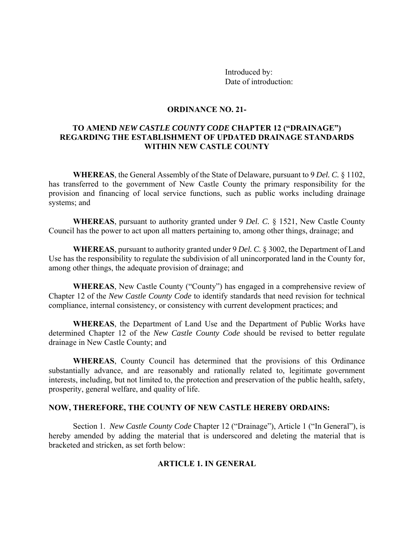Introduced by: Date of introduction:

#### **ORDINANCE NO. 21-**

# **TO AMEND** *NEW CASTLE COUNTY CODE* **CHAPTER 12 ("DRAINAGE") REGARDING THE ESTABLISHMENT OF UPDATED DRAINAGE STANDARDS WITHIN NEW CASTLE COUNTY**

**WHEREAS**, the General Assembly of the State of Delaware, pursuant to 9 *Del. C.* § 1102, has transferred to the government of New Castle County the primary responsibility for the provision and financing of local service functions, such as public works including drainage systems; and

**WHEREAS**, pursuant to authority granted under 9 *Del. C.* § 1521, New Castle County Council has the power to act upon all matters pertaining to, among other things, drainage; and

**WHEREAS**, pursuant to authority granted under 9 *Del. C.* § 3002, the Department of Land Use has the responsibility to regulate the subdivision of all unincorporated land in the County for, among other things, the adequate provision of drainage; and

**WHEREAS**, New Castle County ("County") has engaged in a comprehensive review of Chapter 12 of the *New Castle County Code* to identify standards that need revision for technical compliance, internal consistency, or consistency with current development practices; and

**WHEREAS**, the Department of Land Use and the Department of Public Works have determined Chapter 12 of the *New Castle County Code* should be revised to better regulate drainage in New Castle County; and

**WHEREAS**, County Council has determined that the provisions of this Ordinance substantially advance, and are reasonably and rationally related to, legitimate government interests, including, but not limited to, the protection and preservation of the public health, safety, prosperity, general welfare, and quality of life.

#### **NOW, THEREFORE, THE COUNTY OF NEW CASTLE HEREBY ORDAINS:**

Section 1. *New Castle County Code* Chapter 12 ("Drainage"), Article 1 ("In General"), is hereby amended by adding the material that is underscored and deleting the material that is bracketed and stricken, as set forth below:

#### **ARTICLE 1. IN GENERAL**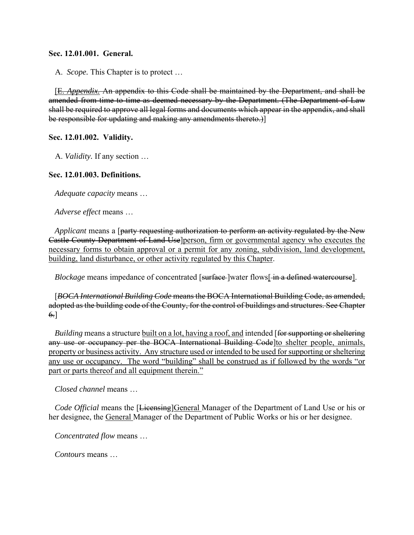#### **Sec. 12.01.001. General.**

A. *Scope.* This Chapter is to protect …

[E. *Appendix.* An appendix to this Code shall be maintained by the Department, and shall be amended from time to time as deemed necessary by the Department. (The Department of Law shall be required to approve all legal forms and documents which appear in the appendix, and shall be responsible for updating and making any amendments thereto.)]

#### **Sec. 12.01.002. Validity.**

A. *Validity.* If any section …

#### **Sec. 12.01.003. Definitions.**

*Adequate capacity* means …

*Adverse effect* means …

*Applicant* means a [party requesting authorization to perform an activity regulated by the New Castle County Department of Land Use]person, firm or governmental agency who executes the necessary forms to obtain approval or a permit for any zoning, subdivision, land development, building, land disturbance, or other activity regulated by this Chapter.

*Blockage* means impedance of concentrated [surface] water flows  $\frac{1}{n}$  a defined watercourse].

[*BOCA International Building Code* means the BOCA International Building Code, as amended, adopted as the building code of the County, for the control of buildings and structures. See Chapter 6.]

*Building* means a structure built on a lot, having a roof, and intended [for supporting or sheltering any use or occupancy per the BOCA International Building Code to shelter people, animals, property or business activity. Any structure used or intended to be used for supporting or sheltering any use or occupancy. The word "building" shall be construed as if followed by the words "or part or parts thereof and all equipment therein."

*Closed channel* means …

*Code Official* means the [Licensing]General Manager of the Department of Land Use or his or her designee, the General Manager of the Department of Public Works or his or her designee.

*Concentrated flow* means …

*Contours* means …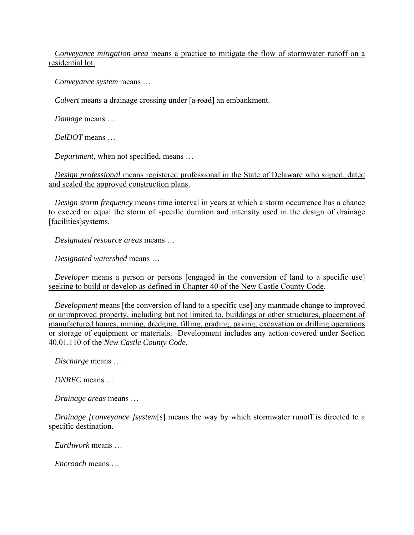*Conveyance mitigation area* means a practice to mitigate the flow of stormwater runoff on a residential lot.

*Conveyance system* means …

*Culvert* means a drainage crossing under [a road] an embankment.

*Damage* means …

*DelDOT* means …

*Department*, when not specified, means …

*Design professional* means registered professional in the State of Delaware who signed, dated and sealed the approved construction plans.

*Design storm frequency* means time interval in years at which a storm occurrence has a chance to exceed or equal the storm of specific duration and intensity used in the design of drainage [facilities] systems.

*Designated resource areas* means …

*Designated watershed* means …

*Developer* means a person or persons [engaged in the conversion of land to a specific use] seeking to build or develop as defined in Chapter 40 of the New Castle County Code.

*Development* means [the conversion of land to a specific use] any manmade change to improved or unimproved property, including but not limited to, buildings or other structures, placement of manufactured homes, mining, dredging, filling, grading, paving, excavation or drilling operations or storage of equipment or materials. Development includes any action covered under Section 40.01.110 of the *New Castle County Code*.

*Discharge* means …

*DNREC* means …

*Drainage areas* means …

*Drainage [conveyance-]system*[*s*] means the way by which stormwater runoff is directed to a specific destination.

*Earthwork* means …

*Encroach* means …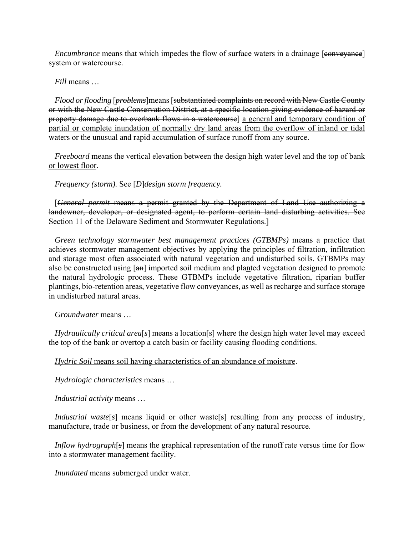*Encumbrance* means that which impedes the flow of surface waters in a drainage [conveyance] system or watercourse.

*Fill* means …

*Flood or flooding* [*problems*]means [substantiated complaints on record with New Castle County or with the New Castle Conservation District, at a specific location giving evidence of hazard or property damage due to overbank flows in a watercourse] a general and temporary condition of partial or complete inundation of normally dry land areas from the overflow of inland or tidal waters or the unusual and rapid accumulation of surface runoff from any source.

*Freeboard* means the vertical elevation between the design high water level and the top of bank or lowest floor.

*Frequency (storm).* See [*D*]*design storm frequency.*

[*General permit* means a permit granted by the Department of Land Use authorizing a landowner, developer, or designated agent, to perform certain land disturbing activities. See Section 11 of the Delaware Sediment and Stormwater Regulations.]

*Green technology stormwater best management practices (GTBMPs)* means a practice that achieves stormwater management objectives by applying the principles of filtration, infiltration and storage most often associated with natural vegetation and undisturbed soils. GTBMPs may also be constructed using [an] imported soil medium and planted vegetation designed to promote the natural hydrologic process. These GTBMPs include vegetative filtration, riparian buffer plantings, bio-retention areas, vegetative flow conveyances, as well as recharge and surface storage in undisturbed natural areas.

*Groundwater* means …

*Hydraulically critical area*[*s*] means a location[*s*] where the design high water level may exceed the top of the bank or overtop a catch basin or facility causing flooding conditions.

*Hydric Soil* means soil having characteristics of an abundance of moisture.

*Hydrologic characteristics* means …

*Industrial activity* means …

*Industrial waste*<sup>[5]</sup> means liquid or other waste<sup>[5]</sup> resulting from any process of industry, manufacture, trade or business, or from the development of any natural resource.

*Inflow hydrograph*[*s*] means the graphical representation of the runoff rate versus time for flow into a stormwater management facility.

*Inundated* means submerged under water.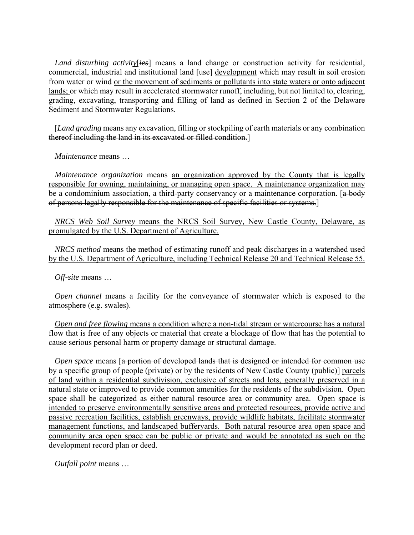*Land disturbing activity*[*ies*] means a land change or construction activity for residential, commercial, industrial and institutional land [use] development which may result in soil erosion from water or wind or the movement of sediments or pollutants into state waters or onto adjacent lands; or which may result in accelerated stormwater runoff, including, but not limited to, clearing, grading, excavating, transporting and filling of land as defined in Section 2 of the Delaware Sediment and Stormwater Regulations.

[*Land grading* means any excavation, filling or stockpiling of earth materials or any combination thereof including the land in its excavated or filled condition.]

*Maintenance* means …

*Maintenance organization* means an organization approved by the County that is legally responsible for owning, maintaining, or managing open space. A maintenance organization may be a condominium association, a third-party conservancy or a maintenance corporation. [a body of persons legally responsible for the maintenance of specific facilities or systems.]

*NRCS Web Soil Survey* means the NRCS Soil Survey, New Castle County, Delaware, as promulgated by the U.S. Department of Agriculture.

*NRCS method* means the method of estimating runoff and peak discharges in a watershed used by the U.S. Department of Agriculture, including Technical Release 20 and Technical Release 55.

*Off-site* means …

*Open channel* means a facility for the conveyance of stormwater which is exposed to the atmosphere (e.g. swales).

*Open and free flowing* means a condition where a non-tidal stream or watercourse has a natural flow that is free of any objects or material that create a blockage of flow that has the potential to cause serious personal harm or property damage or structural damage.

*Open space* means [a portion of developed lands that is designed or intended for common use by a specific group of people (private) or by the residents of New Castle County (public)] parcels of land within a residential subdivision, exclusive of streets and lots, generally preserved in a natural state or improved to provide common amenities for the residents of the subdivision. Open space shall be categorized as either natural resource area or community area. Open space is intended to preserve environmentally sensitive areas and protected resources, provide active and passive recreation facilities, establish greenways, provide wildlife habitats, facilitate stormwater management functions, and landscaped bufferyards. Both natural resource area open space and community area open space can be public or private and would be annotated as such on the development record plan or deed.

*Outfall point* means …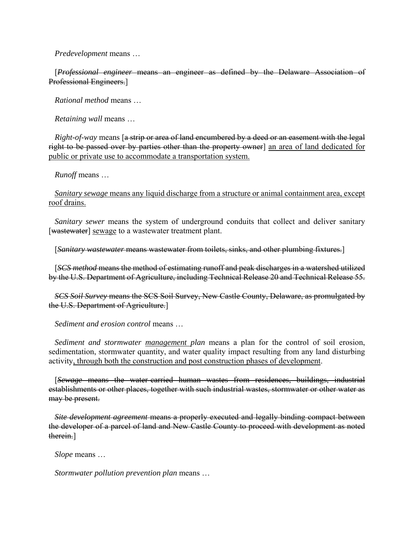*Predevelopment* means …

[*Professional engineer* means an engineer as defined by the Delaware Association of Professional Engineers.]

*Rational method* means …

*Retaining wall* means …

*Right-of-way* means [a strip or area of land encumbered by a deed or an easement with the legal right to be passed over by parties other than the property owner an area of land dedicated for public or private use to accommodate a transportation system.

*Runoff* means …

*Sanitary sewage* means any liquid discharge from a structure or animal containment area, except roof drains.

*Sanitary sewer* means the system of underground conduits that collect and deliver sanitary [wastewater] sewage to a wastewater treatment plant.

[*Sanitary wastewater* means wastewater from toilets, sinks, and other plumbing fixtures.]

[*SCS method* means the method of estimating runoff and peak discharges in a watershed utilized by the U.S. Department of Agriculture, including Technical Release 20 and Technical Release 55.

*SCS Soil Survey* means the SCS Soil Survey, New Castle County, Delaware, as promulgated by the U.S. Department of Agriculture.]

*Sediment and erosion control* means …

*Sediment and stormwater management plan* means a plan for the control of soil erosion, sedimentation, stormwater quantity, and water quality impact resulting from any land disturbing activity, through both the construction and post construction phases of development.

[*Sewage* means the water-carried human wastes from residences, buildings, industrial establishments or other places, together with such industrial wastes, stormwater or other water as may be present.

*Site development agreement* means a properly executed and legally binding compact between the developer of a parcel of land and New Castle County to proceed with development as noted therein.]

*Slope* means …

*Stormwater pollution prevention plan* means …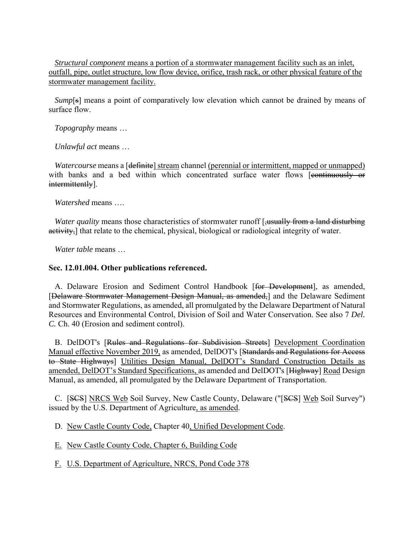*Structural component* means a portion of a stormwater management facility such as an inlet, outfall, pipe, outlet structure, low flow device, orifice, trash rack, or other physical feature of the stormwater management facility.

*Sump*[s] means a point of comparatively low elevation which cannot be drained by means of surface flow.

*Topography* means …

*Unlawful act* means …

*Watercourse* means a [<del>definite</del>] stream channel (perennial or intermittent, mapped or unmapped) with banks and a bed within which concentrated surface water flows [continuously or intermittently].

*Watershed* means ….

*Water quality* means those characteristics of stormwater runoff [,usually from a land disturbing activity, that relate to the chemical, physical, biological or radiological integrity of water.

*Water table* means …

#### **Sec. 12.01.004. Other publications referenced.**

A. Delaware Erosion and Sediment Control Handbook [for Development], as amended, [Delaware Stormwater Management Design Manual, as amended,] and the Delaware Sediment and Stormwater Regulations, as amended, all promulgated by the Delaware Department of Natural Resources and Environmental Control, Division of Soil and Water Conservation. See also 7 *Del. C.* Ch. 40 (Erosion and sediment control).

B. DelDOT's [Rules and Regulations for Subdivision Streets] Development Coordination Manual effective November 2019, as amended, DelDOT's [Standards and Regulations for Access to State Highways] Utilities Design Manual, DelDOT's Standard Construction Details as amended, DelDOT's Standard Specifications, as amended and DelDOT's [Highway] Road Design Manual, as amended, all promulgated by the Delaware Department of Transportation.

C. [SCS] NRCS Web Soil Survey, New Castle County, Delaware ("[SCS] Web Soil Survey") issued by the U.S. Department of Agriculture, as amended.

D. New Castle County Code, Chapter 40, Unified Development Code.

E. New Castle County Code, Chapter 6, Building Code

F. U.S. Department of Agriculture, NRCS, Pond Code 378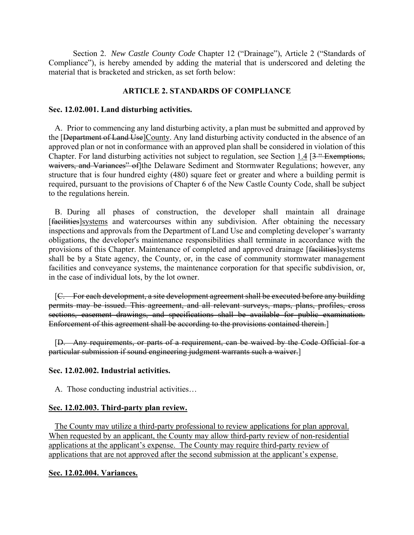Section 2. *New Castle County Code* Chapter 12 ("Drainage"), Article 2 ("Standards of Compliance"), is hereby amended by adding the material that is underscored and deleting the material that is bracketed and stricken, as set forth below:

# **ARTICLE 2. STANDARDS OF COMPLIANCE**

# **Sec. 12.02.001. Land disturbing activities.**

A. Prior to commencing any land disturbing activity, a plan must be submitted and approved by the [Department of Land Use]County. Any land disturbing activity conducted in the absence of an approved plan or not in conformance with an approved plan shall be considered in violation of this Chapter. For land disturbing activities not subject to regulation, see Section 1.4 [3 " Exemptions, waivers, and Variances" of the Delaware Sediment and Stormwater Regulations; however, any structure that is four hundred eighty (480) square feet or greater and where a building permit is required, pursuant to the provisions of Chapter 6 of the New Castle County Code, shall be subject to the regulations herein.

B. During all phases of construction, the developer shall maintain all drainage [facilities]systems and watercourses within any subdivision. After obtaining the necessary inspections and approvals from the Department of Land Use and completing developer's warranty obligations, the developer's maintenance responsibilities shall terminate in accordance with the provisions of this Chapter. Maintenance of completed and approved drainage [facilities]systems shall be by a State agency, the County, or, in the case of community stormwater management facilities and conveyance systems, the maintenance corporation for that specific subdivision, or, in the case of individual lots, by the lot owner.

[C. For each development, a site development agreement shall be executed before any building permits may be issued. This agreement, and all relevant surveys, maps, plans, profiles, cross sections, easement drawings, and specifications shall be available for public examination. Enforcement of this agreement shall be according to the provisions contained therein.]

[D. Any requirements, or parts of a requirement, can be waived by the Code Official for a particular submission if sound engineering judgment warrants such a waiver.]

# **Sec. 12.02.002. Industrial activities.**

A. Those conducting industrial activities…

# **Sec. 12.02.003. Third-party plan review.**

The County may utilize a third-party professional to review applications for plan approval. When requested by an applicant, the County may allow third-party review of non-residential applications at the applicant's expense. The County may require third-party review of applications that are not approved after the second submission at the applicant's expense.

#### **Sec. 12.02.004. Variances.**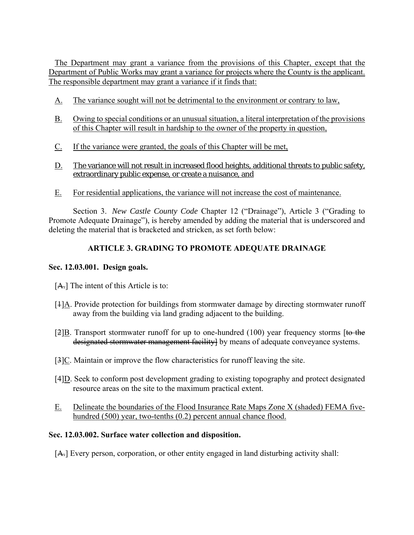The Department may grant a variance from the provisions of this Chapter, except that the Department of Public Works may grant a variance for projects where the County is the applicant. The responsible department may grant a variance if it finds that:

- A. The variance sought will not be detrimental to the environment or contrary to law,
- B. Owing to special conditions or an unusual situation, a literal interpretation of the provisions of this Chapter will result in hardship to the owner of the property in question,
- C. If the variance were granted, the goals of this Chapter will be met,
- D. The variance will not result in increased flood heights, additional threats to public safety, extraordinary public expense, or create a nuisance, and
- E. For residential applications, the variance will not increase the cost of maintenance.

Section 3. *New Castle County Code* Chapter 12 ("Drainage"), Article 3 ("Grading to Promote Adequate Drainage"), is hereby amended by adding the material that is underscored and deleting the material that is bracketed and stricken, as set forth below:

# **ARTICLE 3. GRADING TO PROMOTE ADEQUATE DRAINAGE**

# **Sec. 12.03.001. Design goals.**

- [A.] The intent of this Article is to:
- $[1]$ A. Provide protection for buildings from stormwater damage by directing stormwater runoff away from the building via land grading adjacent to the building.
- [2]B. Transport stormwater runoff for up to one-hundred  $(100)$  year frequency storms [to the designated stormwater management facility] by means of adequate conveyance systems.
- [3]C. Maintain or improve the flow characteristics for runoff leaving the site.
- [4]D. Seek to conform post development grading to existing topography and protect designated resource areas on the site to the maximum practical extent.
- E. Delineate the boundaries of the Flood Insurance Rate Maps Zone X (shaded) FEMA fivehundred (500) year, two-tenths (0.2) percent annual chance flood.

# **Sec. 12.03.002. Surface water collection and disposition.**

[A.] Every person, corporation, or other entity engaged in land disturbing activity shall: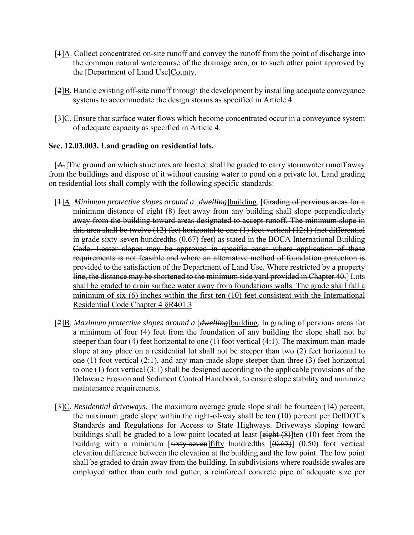- $[1]$ A. Collect concentrated on-site runoff and convey the runoff from the point of discharge into the common natural watercourse of the drainage area, or to such other point approved by the [Department of Land Use]County.
- [2]B. Handle existing off-site runoff through the development by installing adequate conveyance systems to accommodate the design storms as specified in Article 4.
- $[3]C$ . Ensure that surface water flows which become concentrated occur in a conveyance system of adequate capacity as specified in Article 4.

#### **Sec. 12.03.003. Land grading on residential lots.**

[A.]The ground on which structures are located shall be graded to carry stormwater runoff away from the buildings and dispose of it without causing water to pond on a private lot. Land grading on residential lots shall comply with the following specific standards:

- [1]A. *Minimum protective slopes around a* [*dwelling*]building*.* [Grading of pervious areas for a minimum distance of eight (8) feet away from any building shall slope perpendicularly away from the building toward areas designated to accept runoff. The minimum slope in this area shall be twelve (12) feet horizontal to one (1) foot vertical (12:1) (net differential in grade sixty-seven hundredths (0.67) feet) as stated in the BOCA International Building Code. Lesser slopes may be approved in specific cases where application of these requirements is not feasible and where an alternative method of foundation protection is provided to the satisfaction of the Department of Land Use. Where restricted by a property line, the distance may be shortened to the minimum side yard provided in Chapter 40. Lots shall be graded to drain surface water away from foundations walls. The grade shall fall a minimum of six (6) inches within the first ten (10) feet consistent with the International Residential Code Chapter 4 §R401.3
- [2]B. *Maximum protective slopes around a* [*dwelling*]building*.* In grading of pervious areas for a minimum of four (4) feet from the foundation of any building the slope shall not be steeper than four (4) feet horizontal to one (1) foot vertical (4:1). The maximum man-made slope at any place on a residential lot shall not be steeper than two (2) feet horizontal to one (1) foot vertical (2:1), and any man-made slope steeper than three (3) feet horizontal to one (1) foot vertical (3:1) shall be designed according to the applicable provisions of the Delaware Erosion and Sediment Control Handbook, to ensure slope stability and minimize maintenance requirements.
- [3]C. *Residential driveways.* The maximum average grade slope shall be fourteen (14) percent, the maximum grade slope within the right-of-way shall be ten (10) percent per DelDOT's Standards and Regulations for Access to State Highways. Driveways sloping toward buildings shall be graded to a low point located at least  $\left[\frac{\text{eight (8)}}{\text{ten (10)}}\right]$  feet from the building with a minimum  $[sixty-seven]$  fifty hundredths  $[(0.67)]$  (0.50) foot vertical elevation difference between the elevation at the building and the low point. The low point shall be graded to drain away from the building. In subdivisions where roadside swales are employed rather than curb and gutter, a reinforced concrete pipe of adequate size per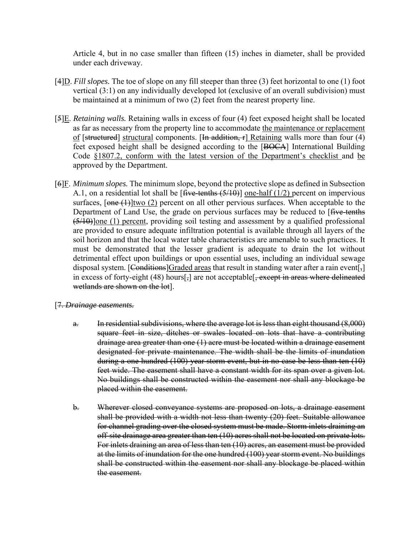Article 4, but in no case smaller than fifteen (15) inches in diameter, shall be provided under each driveway.

- [4]D. *Fill slopes.* The toe of slope on any fill steeper than three (3) feet horizontal to one (1) foot vertical (3:1) on any individually developed lot (exclusive of an overall subdivision) must be maintained at a minimum of two (2) feet from the nearest property line.
- [5]E. *Retaining walls.* Retaining walls in excess of four (4) feet exposed height shall be located as far as necessary from the property line to accommodate the maintenance or replacement of [structured] structural components. [In addition,  $r$ ] Retaining walls more than four (4) feet exposed height shall be designed according to the [BOCA] International Building Code §1807.2, conform with the latest version of the Department's checklist and be approved by the Department.
- [6]F. *Minimum slopes.* The minimum slope, beyond the protective slope as defined in Subsection A.1, on a residential lot shall be  $[\text{five-tenths} (5/10)]$  one-half (1/2) percent on impervious surfaces,  $\sqrt{(\text{one } t)}$  (two (2) percent on all other pervious surfaces. When acceptable to the Department of Land Use, the grade on pervious surfaces may be reduced to [five-tenths] (5/10)]one (1) percent, providing soil testing and assessment by a qualified professional are provided to ensure adequate infiltration potential is available through all layers of the soil horizon and that the local water table characteristics are amenable to such practices. It must be demonstrated that the lesser gradient is adequate to drain the lot without detrimental effect upon buildings or upon essential uses, including an individual sewage disposal system. [Conditions]Graded areas that result in standing water after a rain event[ $_{7}$ ] in excess of forty-eight  $(48)$  hours[ $\frac{1}{2}$ ] are not acceptable[ $\frac{1}{2}$  except in areas where delineated wetlands are shown on the lot].
- [7. *Drainage easements.*
	- a. In residential subdivisions, where the average lot is less than eight thousand (8,000) square feet in size, ditches or swales located on lots that have a contributing drainage area greater than one (1) acre must be located within a drainage easement designated for private maintenance. The width shall be the limits of inundation during a one hundred (100) year storm event, but in no case be less than ten (10) feet wide. The easement shall have a constant width for its span over a given lot. No buildings shall be constructed within the easement nor shall any blockage be placed within the easement.
	- b. Wherever closed conveyance systems are proposed on lots, a drainage easement shall be provided with a width not less than twenty (20) feet. Suitable allowance for channel grading over the closed system must be made. Storm inlets draining an off-site drainage area greater than ten (10) acres shall not be located on private lots. For inlets draining an area of less than ten (10) acres, an easement must be provided at the limits of inundation for the one hundred (100) year storm event. No buildings shall be constructed within the easement nor shall any blockage be placed within the easement.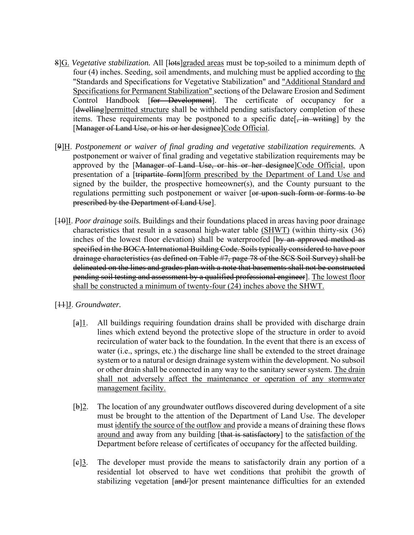- 8]G. *Vegetative stabilization.* All [lots]graded areas must be top-soiled to a minimum depth of four (4) inches. Seeding, soil amendments, and mulching must be applied according to the "Standards and Specifications for Vegetative Stabilization" and "Additional Standard and Specifications for Permanent Stabilization" sections of the Delaware Erosion and Sediment Control Handbook [for Development]. The certificate of occupancy for a [dwelling]permitted structure shall be withheld pending satisfactory completion of these items. These requirements may be postponed to a specific date  $\frac{1}{2}$  in writing by the [Manager of Land Use, or his or her designee]Code Official.
- [9]H. *Postponement or waiver of final grading and vegetative stabilization requirements.* A postponement or waiver of final grading and vegetative stabilization requirements may be approved by the [Manager of Land Use, or his or her designee]Code Official, upon presentation of a [tripartite form] form prescribed by the Department of Land Use and signed by the builder, the prospective homeowner(s), and the County pursuant to the regulations permitting such postponement or waiver [or upon such form or forms to be prescribed by the Department of Land Use].
- [10]I. *Poor drainage soils.* Buildings and their foundations placed in areas having poor drainage characteristics that result in a seasonal high-water table (SHWT) (within thirty-six (36) inches of the lowest floor elevation) shall be waterproofed [by an approved method as specified in the BOCA International Building Code. Soils typically considered to have poor drainage characteristics (as defined on Table #7, page 78 of the SCS Soil Survey) shall be delineated on the lines and grades plan with a note that basements shall not be constructed pending soil testing and assessment by a qualified professional engineer]. The lowest floor shall be constructed a minimum of twenty-four (24) inches above the SHWT.
- [11]J. *Groundwater.*
	- $[a]$ <sup>1</sup>. All buildings requiring foundation drains shall be provided with discharge drain lines which extend beyond the protective slope of the structure in order to avoid recirculation of water back to the foundation. In the event that there is an excess of water (i.e., springs, etc.) the discharge line shall be extended to the street drainage system or to a natural or design drainage system within the development. No subsoil or other drain shall be connected in any way to the sanitary sewer system. The drain shall not adversely affect the maintenance or operation of any stormwater management facility.
	- [b]2. The location of any groundwater outflows discovered during development of a site must be brought to the attention of the Department of Land Use. The developer must identify the source of the outflow and provide a means of draining these flows around and away from any building [that is satisfactory] to the satisfaction of the Department before release of certificates of occupancy for the affected building.
	- $[e]$ <sup>3</sup>. The developer must provide the means to satisfactorily drain any portion of a residential lot observed to have wet conditions that prohibit the growth of stabilizing vegetation [and/]or present maintenance difficulties for an extended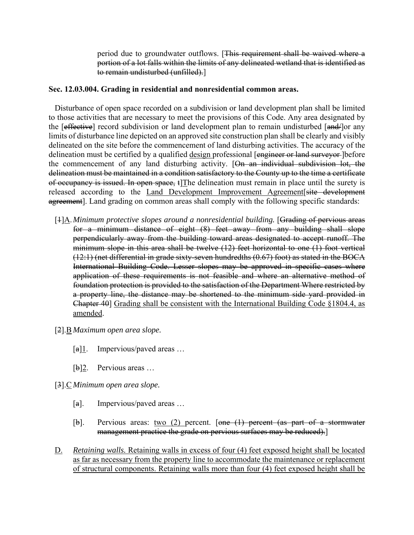period due to groundwater outflows. [This requirement shall be waived where a portion of a lot falls within the limits of any delineated wetland that is identified as to remain undisturbed (unfilled).]

#### **Sec. 12.03.004. Grading in residential and nonresidential common areas.**

Disturbance of open space recorded on a subdivision or land development plan shall be limited to those activities that are necessary to meet the provisions of this Code. Any area designated by the [effective] record subdivision or land development plan to remain undisturbed [and | or any limits of disturbance line depicted on an approved site construction plan shall be clearly and visibly delineated on the site before the commencement of land disturbing activities. The accuracy of the delineation must be certified by a qualified design professional [engineer or land surveyor ] before the commencement of any land disturbing activity. [On an individual subdivision lot, the delineation must be maintained in a condition satisfactory to the County up to the time a certificate of occupancy is issued. In open space,  $\mathbf{t}$  The delineation must remain in place until the surety is released according to the Land Development Improvement Agreement site development agreement]. Land grading on common areas shall comply with the following specific standards:

- [1]A. *Minimum protective slopes around a nonresidential building.* [Grading of pervious areas for a minimum distance of eight (8) feet away from any building shall slope perpendicularly away from the building toward areas designated to accept runoff. The minimum slope in this area shall be twelve (12) feet horizontal to one (1) foot vertical (12:1) (net differential in grade sixty-seven hundredths (0.67) foot) as stated in the BOCA International Building Code. Lesser slopes may be approved in specific cases where application of these requirements is not feasible and where an alternative method of foundation protection is provided to the satisfaction of the Department Where restricted by a property line, the distance may be shortened to the minimum side yard provided in Chapter 40] Grading shall be consistent with the International Building Code  $\S 1804.4$ , as amended.
- [2].B *Maximum open area slope.*
	- $[a]$ <sup>1</sup>. Impervious/paved areas ...
	- [b]2. Pervious areas …
- [3].C *Minimum open area slope.*
	- [a]. Impervious/paved areas ...
	- $[b]$ . Pervious areas: two (2) percent. [one (1) percent (as part of a stormwater management practice the grade on pervious surfaces may be reduced).]
- D. *Retaining walls.* Retaining walls in excess of four (4) feet exposed height shall be located as far as necessary from the property line to accommodate the maintenance or replacement of structural components. Retaining walls more than four (4) feet exposed height shall be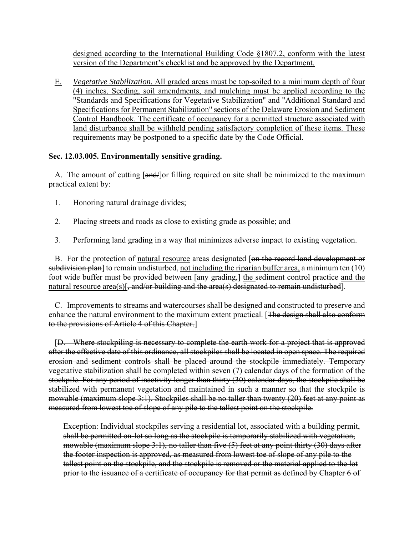designed according to the International Building Code §1807.2, conform with the latest version of the Department's checklist and be approved by the Department.

E. *Vegetative Stabilization.* All graded areas must be top-soiled to a minimum depth of four (4) inches. Seeding, soil amendments, and mulching must be applied according to the "Standards and Specifications for Vegetative Stabilization" and "Additional Standard and Specifications for Permanent Stabilization" sections of the Delaware Erosion and Sediment Control Handbook. The certificate of occupancy for a permitted structure associated with land disturbance shall be withheld pending satisfactory completion of these items. These requirements may be postponed to a specific date by the Code Official.

# **Sec. 12.03.005. Environmentally sensitive grading.**

A. The amount of cutting  $\left[\frac{and}{\right]}$  or filling required on site shall be minimized to the maximum practical extent by:

- 1. Honoring natural drainage divides;
- 2. Placing streets and roads as close to existing grade as possible; and
- 3. Performing land grading in a way that minimizes adverse impact to existing vegetation.

B. For the protection of natural resource areas designated [on the record land development or subdivision plan] to remain undisturbed, not including the riparian buffer area, a minimum ten (10) foot wide buffer must be provided between [any grading,] the sediment control practice and the natural resource area(s)[ $\frac{1}{2}$ , and/or building and the area(s) designated to remain undisturbed].

C. Improvements to streams and watercourses shall be designed and constructed to preserve and enhance the natural environment to the maximum extent practical. [The design shall also conform to the provisions of Article 4 of this Chapter.]

[D. Where stockpiling is necessary to complete the earth work for a project that is approved after the effective date of this ordinance, all stockpiles shall be located in open space. The required erosion and sediment controls shall be placed around the stockpile immediately. Temporary vegetative stabilization shall be completed within seven (7) calendar days of the formation of the stockpile. For any period of inactivity longer than thirty (30) calendar days, the stockpile shall be stabilized with permanent vegetation and maintained in such a manner so that the stockpile is mowable (maximum slope 3:1). Stockpiles shall be no taller than twenty (20) feet at any point as measured from lowest toe of slope of any pile to the tallest point on the stockpile.

Exception: Individual stockpiles serving a residential lot, associated with a building permit, shall be permitted on-lot so long as the stockpile is temporarily stabilized with vegetation, mowable (maximum slope 3:1), no taller than five (5) feet at any point thirty (30) days after the footer inspection is approved, as measured from lowest toe of slope of any pile to the tallest point on the stockpile, and the stockpile is removed or the material applied to the lot prior to the issuance of a certificate of occupancy for that permit as defined by Chapter 6 of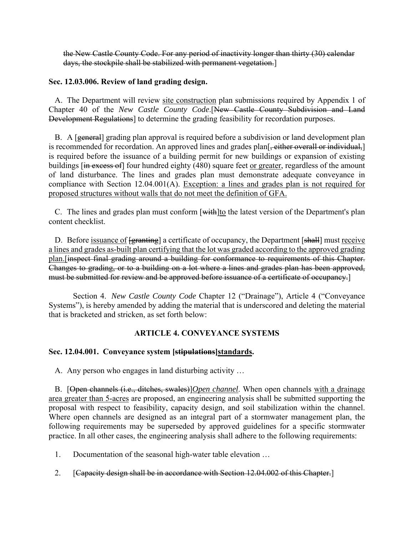the New Castle County Code. For any period of inactivity longer than thirty (30) calendar days, the stockpile shall be stabilized with permanent vegetation.]

### **Sec. 12.03.006. Review of land grading design.**

A. The Department will review site construction plan submissions required by Appendix 1 of Chapter 40 of the *New Castle County Code*.[New Castle County Subdivision and Land Development Regulations] to determine the grading feasibility for recordation purposes.

B. A [general] grading plan approval is required before a subdivision or land development plan is recommended for recordation. An approved lines and grades plan<sup>[</sup>, either overall or individual,] is required before the issuance of a building permit for new buildings or expansion of existing buildings [in excess of] four hundred eighty (480) square feet or greater, regardless of the amount of land disturbance. The lines and grades plan must demonstrate adequate conveyance in compliance with Section 12.04.001(A). Exception: a lines and grades plan is not required for proposed structures without walls that do not meet the definition of GFA.

C. The lines and grades plan must conform [with] to the latest version of the Department's plan content checklist.

D. Before issuance of  $\{$ granting] a certificate of occupancy, the Department [shall] must receive a lines and grades as-built plan certifying that the lot was graded according to the approved grading plan.[inspect final grading around a building for conformance to requirements of this Chapter. Changes to grading, or to a building on a lot where a lines and grades plan has been approved, must be submitted for review and be approved before issuance of a certificate of occupancy.]

Section 4. *New Castle County Code* Chapter 12 ("Drainage"), Article 4 ("Conveyance Systems"), is hereby amended by adding the material that is underscored and deleting the material that is bracketed and stricken, as set forth below:

# **ARTICLE 4. CONVEYANCE SYSTEMS**

#### **Sec. 12.04.001. Conveyance system [stipulations]standards.**

A. Any person who engages in land disturbing activity …

B. [Open channels (i.e., ditches, swales)]*Open channel*. When open channels with a drainage area greater than 5-acres are proposed, an engineering analysis shall be submitted supporting the proposal with respect to feasibility, capacity design, and soil stabilization within the channel. Where open channels are designed as an integral part of a stormwater management plan, the following requirements may be superseded by approved guidelines for a specific stormwater practice. In all other cases, the engineering analysis shall adhere to the following requirements:

1. Documentation of the seasonal high-water table elevation …

2. [Capacity design shall be in accordance with Section 12.04.002 of this Chapter.]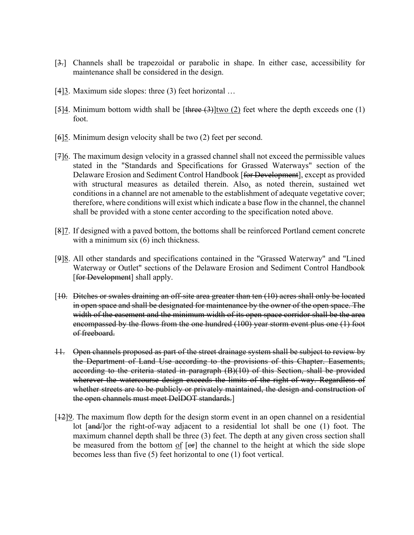- [3.] Channels shall be trapezoidal or parabolic in shape. In either case, accessibility for maintenance shall be considered in the design.
- [4] $\frac{3}{2}$ . Maximum side slopes: three (3) feet horizontal ...
- [5]4. Minimum bottom width shall be [three  $(3)$ ]two (2) feet where the depth exceeds one (1) foot.
- [6]5. Minimum design velocity shall be two (2) feet per second.
- [7]6. The maximum design velocity in a grassed channel shall not exceed the permissible values stated in the "Standards and Specifications for Grassed Waterways" section of the Delaware Erosion and Sediment Control Handbook [for Development], except as provided with structural measures as detailed therein. Also, as noted therein, sustained wet conditions in a channel are not amenable to the establishment of adequate vegetative cover; therefore, where conditions will exist which indicate a base flow in the channel, the channel shall be provided with a stone center according to the specification noted above.
- [8]7. If designed with a paved bottom, the bottoms shall be reinforced Portland cement concrete with a minimum six (6) inch thickness.
- [9]8. All other standards and specifications contained in the "Grassed Waterway" and "Lined Waterway or Outlet" sections of the Delaware Erosion and Sediment Control Handbook [for Development] shall apply.
- [10. Ditches or swales draining an off-site area greater than ten (10) acres shall only be located in open space and shall be designated for maintenance by the owner of the open space. The width of the easement and the minimum width of its open space corridor shall be the area encompassed by the flows from the one hundred (100) year storm event plus one (1) foot of freeboard.
- 11. Open channels proposed as part of the street drainage system shall be subject to review by the Department of Land Use according to the provisions of this Chapter. Easements, according to the criteria stated in paragraph (B)(10) of this Section, shall be provided wherever the watercourse design exceeds the limits of the right-of-way. Regardless of whether streets are to be publicly or privately maintained, the design and construction of the open channels must meet DelDOT standards.]
- [12]9. The maximum flow depth for the design storm event in an open channel on a residential lot  $\left[\frac{and}{\rho}\right]$  or the right-of-way adjacent to a residential lot shall be one (1) foot. The maximum channel depth shall be three (3) feet. The depth at any given cross section shall be measured from the bottom  $of$  [ $er$ ] the channel to the height at which the side slope becomes less than five (5) feet horizontal to one (1) foot vertical.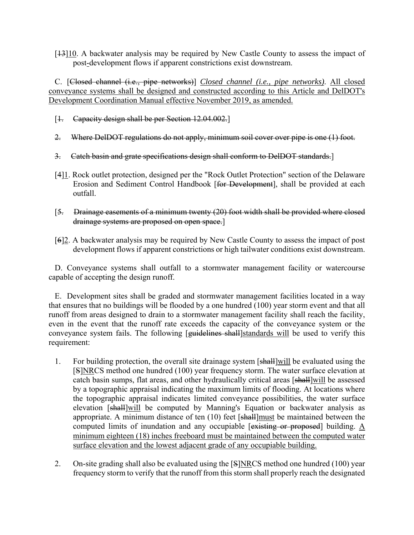$[13]10$ . A backwater analysis may be required by New Castle County to assess the impact of post-development flows if apparent constrictions exist downstream.

C. [Closed channel (i.e., pipe networks)] *Closed channel (i.e., pipe networks)*. All closed conveyance systems shall be designed and constructed according to this Article and DelDOT's Development Coordination Manual effective November 2019, as amended.

- [1. Capacity design shall be per Section 12.04.002.]
- 2. Where DelDOT regulations do not apply, minimum soil cover over pipe is one (1) foot.
- 3. Catch basin and grate specifications design shall conform to DelDOT standards.]
- [4]1. Rock outlet protection, designed per the "Rock Outlet Protection" section of the Delaware Erosion and Sediment Control Handbook [for Development], shall be provided at each outfall.
- [5. Drainage easements of a minimum twenty (20) foot width shall be provided where closed drainage systems are proposed on open space.]
- [6]2. A backwater analysis may be required by New Castle County to assess the impact of post development flows if apparent constrictions or high tailwater conditions exist downstream.

D. Conveyance systems shall outfall to a stormwater management facility or watercourse capable of accepting the design runoff.

E. Development sites shall be graded and stormwater management facilities located in a way that ensures that no buildings will be flooded by a one hundred (100) year storm event and that all runoff from areas designed to drain to a stormwater management facility shall reach the facility, even in the event that the runoff rate exceeds the capacity of the conveyance system or the conveyance system fails. The following [guidelines shall]standards will be used to verify this requirement:

- 1. For building protection, the overall site drainage system [shall]will be evaluated using the [S]NRCS method one hundred (100) year frequency storm. The water surface elevation at catch basin sumps, flat areas, and other hydraulically critical areas [shall]will be assessed by a topographic appraisal indicating the maximum limits of flooding. At locations where the topographic appraisal indicates limited conveyance possibilities, the water surface elevation [shall]will be computed by Manning's Equation or backwater analysis as appropriate. A minimum distance of ten (10) feet [shall]must be maintained between the computed limits of inundation and any occupiable [existing or proposed] building.  $\underline{A}$ minimum eighteen (18) inches freeboard must be maintained between the computed water surface elevation and the lowest adjacent grade of any occupiable building.
- 2. On-site grading shall also be evaluated using the [S]NRCS method one hundred (100) year frequency storm to verify that the runoff from this storm shall properly reach the designated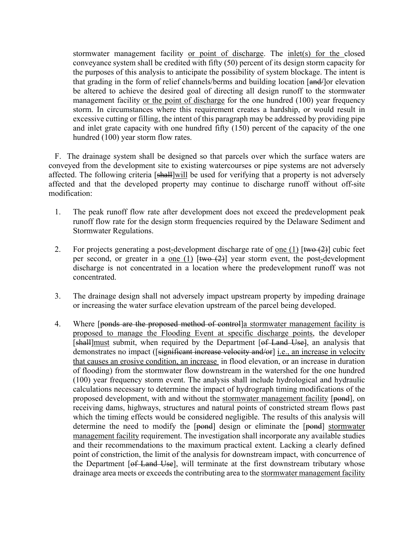stormwater management facility or point of discharge. The inlet(s) for the closed conveyance system shall be credited with fifty (50) percent of its design storm capacity for the purposes of this analysis to anticipate the possibility of system blockage. The intent is that grading in the form of relief channels/berms and building location [and-] or elevation be altered to achieve the desired goal of directing all design runoff to the stormwater management facility or the point of discharge for the one hundred (100) year frequency storm. In circumstances where this requirement creates a hardship, or would result in excessive cutting or filling, the intent of this paragraph may be addressed by providing pipe and inlet grate capacity with one hundred fifty (150) percent of the capacity of the one hundred (100) year storm flow rates.

F. The drainage system shall be designed so that parcels over which the surface waters are conveyed from the development site to existing watercourses or pipe systems are not adversely affected. The following criteria [shall]will be used for verifying that a property is not adversely affected and that the developed property may continue to discharge runoff without off-site modification:

- 1. The peak runoff flow rate after development does not exceed the predevelopment peak runoff flow rate for the design storm frequencies required by the Delaware Sediment and Stormwater Regulations.
- 2. For projects generating a post-development discharge rate of one (1)  $[\frac{\text{two (2)}}{\text{two (2)}}]$  cubic feet per second, or greater in a one (1)  $[\frac{two}{2}]$  year storm event, the post-development discharge is not concentrated in a location where the predevelopment runoff was not concentrated.
- 3. The drainage design shall not adversely impact upstream property by impeding drainage or increasing the water surface elevation upstream of the parcel being developed.
- 4. Where [ponds are the proposed method of control]a stormwater management facility is proposed to manage the Flooding Event at specific discharge points, the developer [shall]must submit, when required by the Department [of Land Use], an analysis that demonstrates no impact ([significant increase velocity and/or] i.e., an increase in velocity that causes an erosive condition, an increase in flood elevation, or an increase in duration of flooding) from the stormwater flow downstream in the watershed for the one hundred (100) year frequency storm event. The analysis shall include hydrological and hydraulic calculations necessary to determine the impact of hydrograph timing modifications of the proposed development, with and without the stormwater management facility [pond], on receiving dams, highways, structures and natural points of constricted stream flows past which the timing effects would be considered negligible. The results of this analysis will determine the need to modify the [pond] design or eliminate the [pond] stormwater management facility requirement. The investigation shall incorporate any available studies and their recommendations to the maximum practical extent. Lacking a clearly defined point of constriction, the limit of the analysis for downstream impact, with concurrence of the Department [of Land Use], will terminate at the first downstream tributary whose drainage area meets or exceeds the contributing area to the stormwater management facility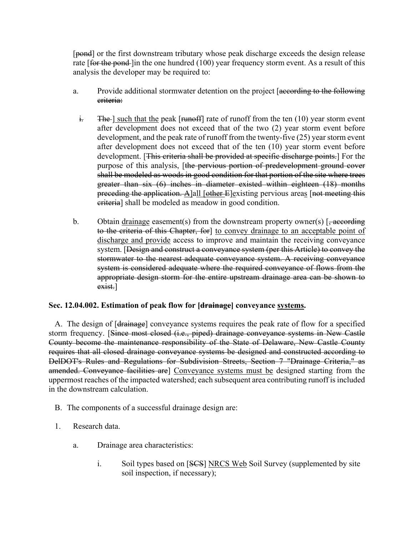[pond] or the first downstream tributary whose peak discharge exceeds the design release rate  $[$ for the pond- $]$ in the one hundred  $(100)$  year frequency storm event. As a result of this analysis the developer may be required to:

- a. Provide additional stormwater detention on the project [according to the following criteria:
	- $\frac{1}{2}$ . The such that the peak [runoff] rate of runoff from the ten (10) year storm event after development does not exceed that of the two (2) year storm event before development, and the peak rate of runoff from the twenty-five (25) year storm event after development does not exceed that of the ten (10) year storm event before development. [This criteria shall be provided at specific discharge points.] For the purpose of this analysis, [the pervious portion of predevelopment ground cover shall be modeled as woods in good condition for that portion of the site where trees greater than six (6) inches in diameter existed within eighteen (18) months preceding the application. A]all [other E]existing pervious areas [not meeting this criteria] shall be modeled as meadow in good condition.
- b. Obtain drainage easement(s) from the downstream property owner(s)  $\left[\frac{1}{2}, \frac{1}{2}, \frac{1}{2}, \frac{1}{2}\right]$ to the criteria of this Chapter, for] to convey drainage to an acceptable point of discharge and provide access to improve and maintain the receiving conveyance system. [Design and construct a conveyance system (per this Article) to convey the stormwater to the nearest adequate conveyance system. A receiving conveyance system is considered adequate where the required conveyance of flows from the appropriate design storm for the entire upstream drainage area can be shown to exist.]

# **Sec. 12.04.002. Estimation of peak flow for [drainage] conveyance systems.**

A. The design of [<del>drainage</del>] conveyance systems requires the peak rate of flow for a specified storm frequency. [Since most closed (i.e., piped) drainage conveyance systems in New Castle County become the maintenance responsibility of the State of Delaware, New Castle County requires that all closed drainage conveyance systems be designed and constructed according to DelDOT's Rules and Regulations for Subdivision Streets, Section 7 "Drainage Criteria," as amended. Conveyance facilities are] Conveyance systems must be designed starting from the uppermost reaches of the impacted watershed; each subsequent area contributing runoff is included in the downstream calculation.

- B. The components of a successful drainage design are:
- 1. Research data.
	- a. Drainage area characteristics:
		- i. Soil types based on [SCS] NRCS Web Soil Survey (supplemented by site soil inspection, if necessary);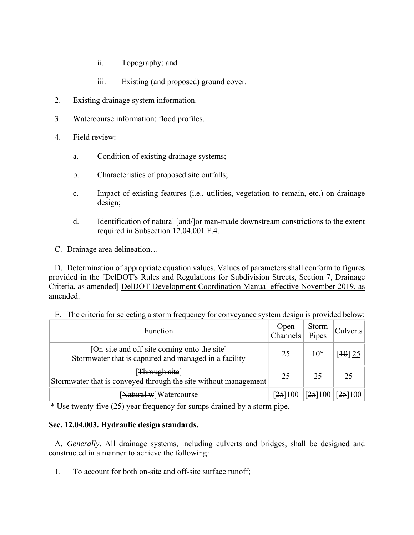- ii. Topography; and
- iii. Existing (and proposed) ground cover.
- 2. Existing drainage system information.
- 3. Watercourse information: flood profiles.
- 4. Field review:
	- a. Condition of existing drainage systems;
	- b. Characteristics of proposed site outfalls;
	- c. Impact of existing features (i.e., utilities, vegetation to remain, etc.) on drainage design;
	- d. Identification of natural [and | or man-made downstream constrictions to the extent required in Subsection 12.04.001.F.4.

C. Drainage area delineation…

D. Determination of appropriate equation values. Values of parameters shall conform to figures provided in the [DelDOT's Rules and Regulations for Subdivision Streets, Section 7, Drainage Criteria, as amended] DelDOT Development Coordination Manual effective November 2019, as amended.

| Function                                                                                             | $\begin{array}{c}\n\text{Open} \\ \text{Channels}\n\end{array}$ | Storm<br>Pipes | Culverts             |
|------------------------------------------------------------------------------------------------------|-----------------------------------------------------------------|----------------|----------------------|
| [On-site and off-site coming onto the site]<br>Stormwater that is captured and managed in a facility | 25                                                              | $10*$          | [ $10$ ] 25          |
| [ <del>Through site</del> ]<br>Stormwater that is conveyed through the site without management       | 25                                                              | 25             | 25                   |
| [Natural w]Watercourse                                                                               | [25]100                                                         |                | $[25]100$ [25] $100$ |

E. The criteria for selecting a storm frequency for conveyance system design is provided below:

\* Use twenty-five (25) year frequency for sumps drained by a storm pipe.

# **Sec. 12.04.003. Hydraulic design standards.**

A. *Generally.* All drainage systems, including culverts and bridges, shall be designed and constructed in a manner to achieve the following:

1. To account for both on-site and off-site surface runoff;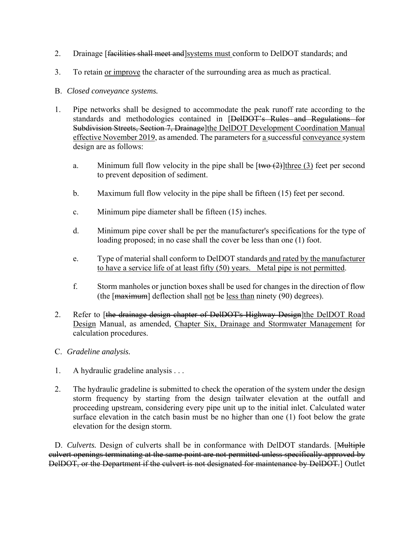- 2. Drainage [facilities shall meet and]systems must conform to DelDOT standards; and
- 3. To retain or improve the character of the surrounding area as much as practical.
- B. *Closed conveyance systems.*
- 1. Pipe networks shall be designed to accommodate the peak runoff rate according to the standards and methodologies contained in [DelDOT's Rules and Regulations for Subdivision Streets, Section 7, Drainage]the DelDOT Development Coordination Manual effective November 2019, as amended. The parameters for a successful conveyance system design are as follows:
	- a. Minimum full flow velocity in the pipe shall be  $[\frac{two (2)}{\text{three (3)}}]$  feet per second to prevent deposition of sediment.
	- b. Maximum full flow velocity in the pipe shall be fifteen (15) feet per second.
	- c. Minimum pipe diameter shall be fifteen (15) inches.
	- d. Minimum pipe cover shall be per the manufacturer's specifications for the type of loading proposed; in no case shall the cover be less than one (1) foot.
	- e. Type of material shall conform to DelDOT standards and rated by the manufacturer to have a service life of at least fifty (50) years. Metal pipe is not permitted.
	- f. Storm manholes or junction boxes shall be used for changes in the direction of flow (the  $\lceil$ maximum] deflection shall not be less than ninety (90) degrees).
- 2. Refer to [the drainage design chapter of DelDOT's Highway Design]the DelDOT Road Design Manual, as amended, Chapter Six, Drainage and Stormwater Management for calculation procedures.
- C. *Gradeline analysis.*
- 1. A hydraulic gradeline analysis . . .
- 2. The hydraulic gradeline is submitted to check the operation of the system under the design storm frequency by starting from the design tailwater elevation at the outfall and proceeding upstream, considering every pipe unit up to the initial inlet. Calculated water surface elevation in the catch basin must be no higher than one (1) foot below the grate elevation for the design storm.

D. *Culverts*. Design of culverts shall be in conformance with DelDOT standards. [Multiple culvert openings terminating at the same point are not permitted unless specifically approved by DelDOT, or the Department if the culvert is not designated for maintenance by DelDOT.] Outlet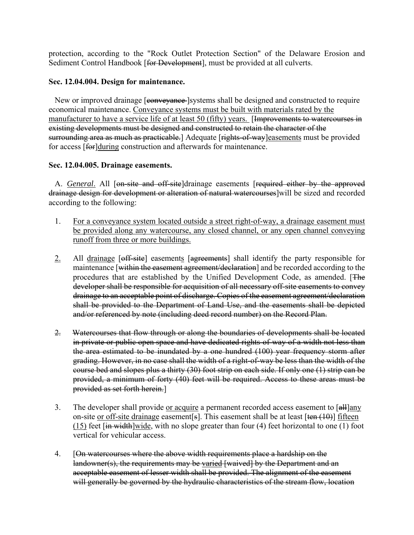protection, according to the "Rock Outlet Protection Section" of the Delaware Erosion and Sediment Control Handbook [for Development], must be provided at all culverts.

### **Sec. 12.04.004. Design for maintenance.**

New or improved drainage [conveyance ]systems shall be designed and constructed to require economical maintenance. Conveyance systems must be built with materials rated by the manufacturer to have a service life of at least 50 (fifty) years. [Improvements to watercourses in existing developments must be designed and constructed to retain the character of the surrounding area as much as practicable.] Adequate [rights-of-way] easements must be provided for access [for]during construction and afterwards for maintenance.

# **Sec. 12.04.005. Drainage easements.**

A. *General*. All [on-site and off-site]drainage easements [required either by the approved drainage design for development or alteration of natural watercourses]will be sized and recorded according to the following:

- 1. For a conveyance system located outside a street right-of-way, a drainage easement must be provided along any watercourse, any closed channel, or any open channel conveying runoff from three or more buildings.
- 2. All drainage [off-site] easements [agreements] shall identify the party responsible for maintenance [within the easement agreement/declaration] and be recorded according to the procedures that are established by the Unified Development Code, as amended. [The developer shall be responsible for acquisition of all necessary off-site easements to convey drainage to an acceptable point of discharge. Copies of the easement agreement/declaration shall be provided to the Department of Land Use, and the easements shall be depicted and/or referenced by note (including deed record number) on the Record Plan.
- 2. Watercourses that flow through or along the boundaries of developments shall be located in private or public open space and have dedicated rights-of-way of a width not less than the area estimated to be inundated by a one hundred (100) year frequency storm after grading. However, in no case shall the width of a right-of-way be less than the width of the course bed and slopes plus a thirty (30) foot strip on each side. If only one (1) strip can be provided, a minimum of forty (40) feet will be required. Access to these areas must be provided as set forth herein.]
- 3. The developer shall provide or acquire a permanent recorded access easement to [all]any on-site or off-site drainage easement [s]. This easement shall be at least  $[\tan(10)]$  fifteen  $(15)$  feet [in width]wide, with no slope greater than four (4) feet horizontal to one (1) foot vertical for vehicular access.
- 4. [On watercourses where the above width requirements place a hardship on the landowner(s), the requirements may be varied [waived] by the Department and an acceptable easement of lesser width shall be provided. The alignment of the easement will generally be governed by the hydraulic characteristics of the stream flow, location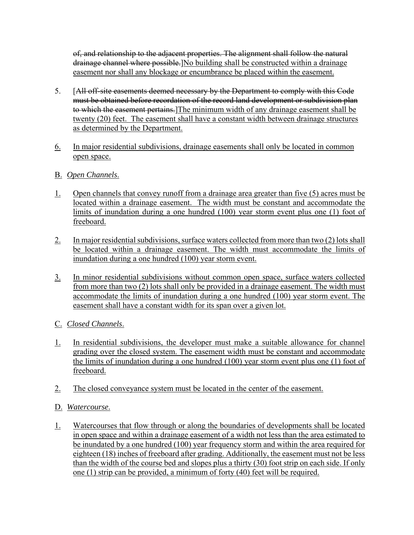of, and relationship to the adjacent properties. The alignment shall follow the natural drainage channel where possible. No building shall be constructed within a drainage easement nor shall any blockage or encumbrance be placed within the easement.

- 5. [All off-site easements deemed necessary by the Department to comply with this Code must be obtained before recordation of the record land development or subdivision plan to which the easement pertains. The minimum width of any drainage easement shall be twenty (20) feet. The easement shall have a constant width between drainage structures as determined by the Department.
- 6. In major residential subdivisions, drainage easements shall only be located in common open space.
- B. *Open Channels*.
- 1. Open channels that convey runoff from a drainage area greater than five (5) acres must be located within a drainage easement. The width must be constant and accommodate the limits of inundation during a one hundred (100) year storm event plus one (1) foot of freeboard.
- 2. In major residential subdivisions, surface waters collected from more than two (2) lots shall be located within a drainage easement. The width must accommodate the limits of inundation during a one hundred (100) year storm event.
- 3. In minor residential subdivisions without common open space, surface waters collected from more than two (2) lots shall only be provided in a drainage easement. The width must accommodate the limits of inundation during a one hundred (100) year storm event. The easement shall have a constant width for its span over a given lot.
- C. *Closed Channels*.
- 1. In residential subdivisions, the developer must make a suitable allowance for channel grading over the closed system. The easement width must be constant and accommodate the limits of inundation during a one hundred (100) year storm event plus one (1) foot of freeboard.
- 2. The closed conveyance system must be located in the center of the easement.
- D. *Watercourse*.
- 1. Watercourses that flow through or along the boundaries of developments shall be located in open space and within a drainage easement of a width not less than the area estimated to be inundated by a one hundred (100) year frequency storm and within the area required for eighteen (18) inches of freeboard after grading. Additionally, the easement must not be less than the width of the course bed and slopes plus a thirty (30) foot strip on each side. If only one (1) strip can be provided, a minimum of forty (40) feet will be required.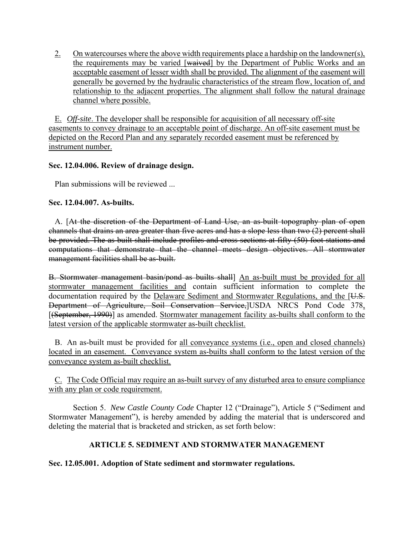2. On watercourses where the above width requirements place a hardship on the landowner(s), the requirements may be varied [waived] by the Department of Public Works and an acceptable easement of lesser width shall be provided. The alignment of the easement will generally be governed by the hydraulic characteristics of the stream flow, location of, and relationship to the adjacent properties. The alignment shall follow the natural drainage channel where possible.

E. *Off-site*. The developer shall be responsible for acquisition of all necessary off-site easements to convey drainage to an acceptable point of discharge. An off-site easement must be depicted on the Record Plan and any separately recorded easement must be referenced by instrument number.

# **Sec. 12.04.006. Review of drainage design.**

Plan submissions will be reviewed ...

# **Sec. 12.04.007. As-builts.**

A. [At the discretion of the Department of Land Use, an as-built topography plan of open channels that drains an area greater than five acres and has a slope less than two (2) percent shall be provided. The as-built shall include profiles and cross sections at fifty (50) foot stations and computations that demonstrate that the channel meets design objectives. All stormwater management facilities shall be as-built.

B. Stormwater management basin/pond as builts shall] An as-built must be provided for all stormwater management facilities and contain sufficient information to complete the documentation required by the Delaware Sediment and Stormwater Regulations, and the [U.S. Department of Agriculture, Soil Conservation Service,]USDA NRCS Pond Code 378, [(September, 1990)] as amended. Stormwater management facility as-builts shall conform to the latest version of the applicable stormwater as-built checklist.

B. An as-built must be provided for all conveyance systems (i.e., open and closed channels) located in an easement. Conveyance system as-builts shall conform to the latest version of the conveyance system as-built checklist.

C. The Code Official may require an as-built survey of any disturbed area to ensure compliance with any plan or code requirement.

Section 5. *New Castle County Code* Chapter 12 ("Drainage"), Article 5 ("Sediment and Stormwater Management"), is hereby amended by adding the material that is underscored and deleting the material that is bracketed and stricken, as set forth below:

# **ARTICLE 5. SEDIMENT AND STORMWATER MANAGEMENT**

# **Sec. 12.05.001. Adoption of State sediment and stormwater regulations.**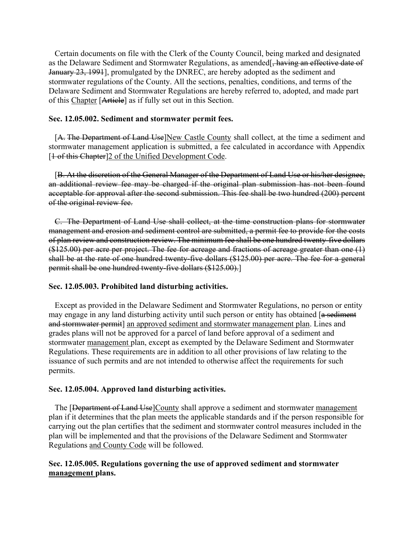Certain documents on file with the Clerk of the County Council, being marked and designated as the Delaware Sediment and Stormwater Regulations, as amended<sup>[</sup>, having an effective date of January 23, 1991], promulgated by the DNREC, are hereby adopted as the sediment and stormwater regulations of the County. All the sections, penalties, conditions, and terms of the Delaware Sediment and Stormwater Regulations are hereby referred to, adopted, and made part of this Chapter [Article] as if fully set out in this Section.

### **Sec. 12.05.002. Sediment and stormwater permit fees.**

[A. The Department of Land Use]New Castle County shall collect, at the time a sediment and stormwater management application is submitted, a fee calculated in accordance with Appendix [1 of this Chapter]2 of the Unified Development Code.

[B. At the discretion of the General Manager of the Department of Land Use or his/her designee, an additional review fee may be charged if the original plan submission has not been found acceptable for approval after the second submission. This fee shall be two hundred (200) percent of the original review fee.

C. The Department of Land Use shall collect, at the time construction plans for stormwater management and erosion and sediment control are submitted, a permit fee to provide for the costs of plan review and construction review. The minimum fee shall be one hundred twenty-five dollars  $($125.00)$  per acre per project. The fee for acreage and fractions of acreage greater than one  $(1)$ shall be at the rate of one hundred twenty-five dollars (\$125.00) per acre. The fee for a general permit shall be one hundred twenty-five dollars (\$125.00).]

#### **Sec. 12.05.003. Prohibited land disturbing activities.**

Except as provided in the Delaware Sediment and Stormwater Regulations, no person or entity may engage in any land disturbing activity until such person or entity has obtained [a sediment and stormwater permit] an approved sediment and stormwater management plan. Lines and grades plans will not be approved for a parcel of land before approval of a sediment and stormwater management plan, except as exempted by the Delaware Sediment and Stormwater Regulations. These requirements are in addition to all other provisions of law relating to the issuance of such permits and are not intended to otherwise affect the requirements for such permits.

#### **Sec. 12.05.004. Approved land disturbing activities.**

The [Department of Land Use]County shall approve a sediment and stormwater management plan if it determines that the plan meets the applicable standards and if the person responsible for carrying out the plan certifies that the sediment and stormwater control measures included in the plan will be implemented and that the provisions of the Delaware Sediment and Stormwater Regulations and County Code will be followed.

# **Sec. 12.05.005. Regulations governing the use of approved sediment and stormwater management plans.**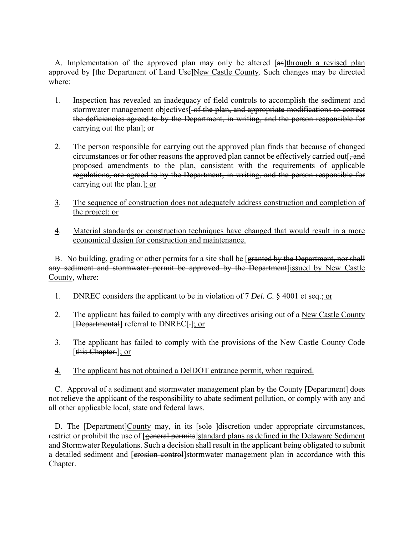A. Implementation of the approved plan may only be altered [as]through a revised plan approved by [the Department of Land Use]New Castle County. Such changes may be directed where:

- 1. Inspection has revealed an inadequacy of field controls to accomplish the sediment and stormwater management objectives<sup>[-of the plan, and appropriate modifications to correct</sup> the deficiencies agreed to by the Department, in writing, and the person responsible for carrying out the plan]; or
- 2. The person responsible for carrying out the approved plan finds that because of changed circumstances or for other reasons the approved plan cannot be effectively carried out[ $\frac{1}{2}$ , and proposed amendments to the plan, consistent with the requirements of applicable regulations, are agreed to by the Department, in writing, and the person responsible for earrying out the plan.]; or
- 3. The sequence of construction does not adequately address construction and completion of the project; or
- 4. Material standards or construction techniques have changed that would result in a more economical design for construction and maintenance.

B. No building, grading or other permits for a site shall be [granted by the Department, nor shall any sediment and stormwater permit be approved by the Department lissued by New Castle County, where:

- 1. DNREC considers the applicant to be in violation of 7 *Del. C.* § 4001 et seq.; or
- 2. The applicant has failed to comply with any directives arising out of a New Castle County [Departmental] referral to DNREC[-]; or
- 3. The applicant has failed to comply with the provisions of the New Castle County Code [this Chapter.]; or
- 4. The applicant has not obtained a DelDOT entrance permit, when required.

C. Approval of a sediment and stormwater management plan by the County [Department] does not relieve the applicant of the responsibility to abate sediment pollution, or comply with any and all other applicable local, state and federal laws.

D. The [Department]County may, in its [sole-]discretion under appropriate circumstances, restrict or prohibit the use of [general permits]standard plans as defined in the Delaware Sediment and Stormwater Regulations. Such a decision shall result in the applicant being obligated to submit a detailed sediment and [erosion control]stormwater management plan in accordance with this Chapter.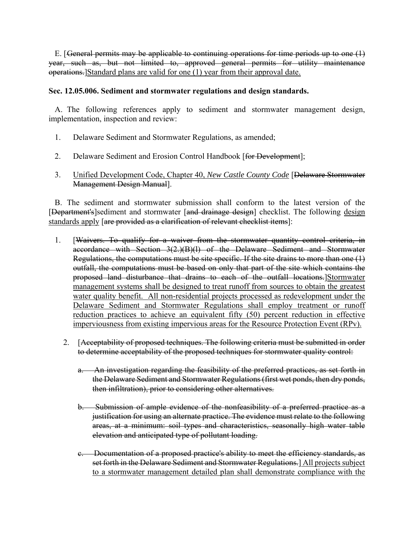E. [ General permits may be applicable to continuing operations for time periods up to one (1) year, such as, but not limited to, approved general permits for utility maintenance operations.]Standard plans are valid for one (1) year from their approval date.

# **Sec. 12.05.006. Sediment and stormwater regulations and design standards.**

A. The following references apply to sediment and stormwater management design, implementation, inspection and review:

- 1. Delaware Sediment and Stormwater Regulations, as amended;
- 2. Delaware Sediment and Erosion Control Handbook [for Development];
- 3. Unified Development Code, Chapter 40, *New Castle County Code* [Delaware Stormwater Management Design Manual].

B. The sediment and stormwater submission shall conform to the latest version of the [Department's]sediment and stormwater [and drainage design] checklist. The following design standards apply [are provided as a clarification of relevant checklist items]:

- 1. [Waivers. To qualify for a waiver from the stormwater quantity control criteria, in accordance with Section 3(2.)(B)(l) of the Delaware Sediment and Stormwater Regulations, the computations must be site specific. If the site drains to more than one (1) outfall, the computations must be based on only that part of the site which contains the proposed land disturbance that drains to each of the outfall locations.]Stormwater management systems shall be designed to treat runoff from sources to obtain the greatest water quality benefit. All non-residential projects processed as redevelopment under the Delaware Sediment and Stormwater Regulations shall employ treatment or runoff reduction practices to achieve an equivalent fifty (50) percent reduction in effective imperviousness from existing impervious areas for the Resource Protection Event (RPv).
	- 2. [Acceptability of proposed techniques. The following criteria must be submitted in order to determine acceptability of the proposed techniques for stormwater quality control:
		- a. An investigation regarding the feasibility of the preferred practices, as set forth in the Delaware Sediment and Stormwater Regulations (first wet ponds, then dry ponds, then infiltration), prior to considering other alternatives.
		- b. Submission of ample evidence of the nonfeasibility of a preferred practice as a justification for using an alternate practice. The evidence must relate to the following areas, at a minimum: soil types and characteristics, seasonally high water table elevation and anticipated type of pollutant loading.
		- c. Documentation of a proposed practice's ability to meet the efficiency standards, as set forth in the Delaware Sediment and Stormwater Regulations.] All projects subject to a stormwater management detailed plan shall demonstrate compliance with the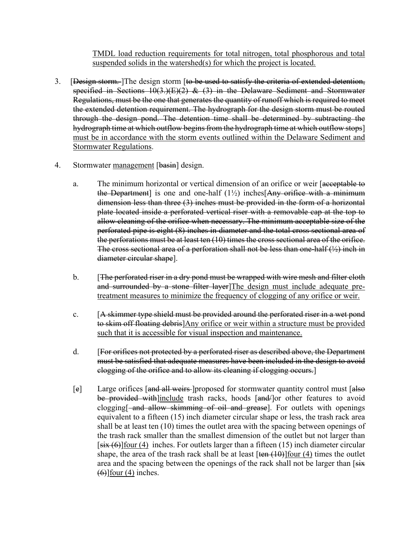TMDL load reduction requirements for total nitrogen, total phosphorous and total suspended solids in the watershed(s) for which the project is located.

- 3. [Design storm. The design storm [to be used to satisfy the criteria of extended detention, specified in Sections  $10(3.)(E)(2)$  & (3) in the Delaware Sediment and Stormwater Regulations, must be the one that generates the quantity of runoff which is required to meet the extended detention requirement. The hydrograph for the design storm must be routed through the design pond. The detention time shall be determined by subtracting the hydrograph time at which outflow begins from the hydrograph time at which outflow stops] must be in accordance with the storm events outlined within the Delaware Sediment and Stormwater Regulations.
- 4. Stormwater management [basin] design.
	- a. The minimum horizontal or vertical dimension of an orifice or weir [acceptable to the Department] is one and one-half  $(1\frac{1}{2})$  inches Any orifice with a minimum dimension less than three (3) inches must be provided in the form of a horizontal plate located inside a perforated vertical riser with a removable cap at the top to allow cleaning of the orifice when necessary. The minimum acceptable size of the perforated pipe is eight (8) inches in diameter and the total cross sectional area of the perforations must be at least ten (10) times the cross sectional area of the orifice. The cross sectional area of a perforation shall not be less than one-half  $(\frac{1}{2})$  inch in diameter circular shape].
	- b. **[The perforated riser in a dry pond must be wrapped with wire mesh and filter cloth** and surrounded by a stone filter layer]The design must include adequate pretreatment measures to minimize the frequency of clogging of any orifice or weir.
	- c. [A skimmer type shield must be provided around the perforated riser in a wet pond to skim off floating debris]Any orifice or weir within a structure must be provided such that it is accessible for visual inspection and maintenance.
	- d. [For orifices not protected by a perforated riser as described above, the Department must be satisfied that adequate measures have been included in the design to avoid clogging of the orifice and to allow its cleaning if clogging occurs.]
	- [e] Large orifices [and all weirs ] proposed for stormwater quantity control must [also] be provided with]include trash racks, hoods [and/]or other features to avoid clogging[ and allow skimming of oil and grease]. For outlets with openings equivalent to a fifteen (15) inch diameter circular shape or less, the trash rack area shall be at least ten (10) times the outlet area with the spacing between openings of the trash rack smaller than the smallest dimension of the outlet but not larger than  $[six (6)]$ four (4) inches. For outlets larger than a fifteen (15) inch diameter circular shape, the area of the trash rack shall be at least  $[\tan(10)]$  four (4) times the outlet area and the spacing between the openings of the rack shall not be larger than  $[s\ddot{i}x]$  $(6)$ ] <u>four (4)</u> inches.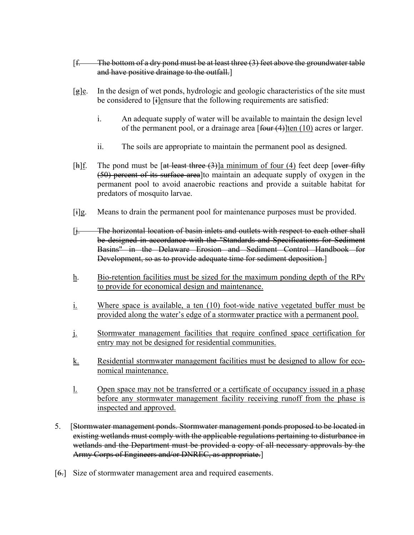- $[f.$  The bottom of a dry pond must be at least three  $(3)$  feet above the groundwater table and have positive drainage to the outfall.]
- $[g]$ e. In the design of wet ponds, hydrologic and geologic characteristics of the site must be considered to  $[i]$ ensure that the following requirements are satisfied:
	- i. An adequate supply of water will be available to maintain the design level of the permanent pool, or a drainage area  $\lceil \frac{\text{four (4)}}{\text{ten (10)}} \rceil$  acres or larger.
	- ii. The soils are appropriate to maintain the permanent pool as designed.
- [h] $f$ . The pond must be [at least three  $(3)$ ]a minimum of four  $(4)$  feet deep [over fifty (50) percent of its surface area]to maintain an adequate supply of oxygen in the permanent pool to avoid anaerobic reactions and provide a suitable habitat for predators of mosquito larvae.
- [i]g. Means to drain the permanent pool for maintenance purposes must be provided.
- [j. The horizontal location of basin inlets and outlets with respect to each other shall be designed in accordance with the "Standards and Specifications for Sediment Basins" in the Delaware Erosion and Sediment Control Handbook for Development, so as to provide adequate time for sediment deposition.]
- h. Bio-retention facilities must be sized for the maximum ponding depth of the RPv to provide for economical design and maintenance.
- i. Where space is available, a ten (10) foot-wide native vegetated buffer must be provided along the water's edge of a stormwater practice with a permanent pool.
- j. Stormwater management facilities that require confined space certification for entry may not be designed for residential communities.
- k. Residential stormwater management facilities must be designed to allow for economical maintenance.
- l. Open space may not be transferred or a certificate of occupancy issued in a phase before any stormwater management facility receiving runoff from the phase is inspected and approved.
- 5. [Stormwater management ponds. Stormwater management ponds proposed to be located in existing wetlands must comply with the applicable regulations pertaining to disturbance in wetlands and the Department must be provided a copy of all necessary approvals by the Army Corps of Engineers and/or DNREC, as appropriate.]
- [6.] Size of stormwater management area and required easements.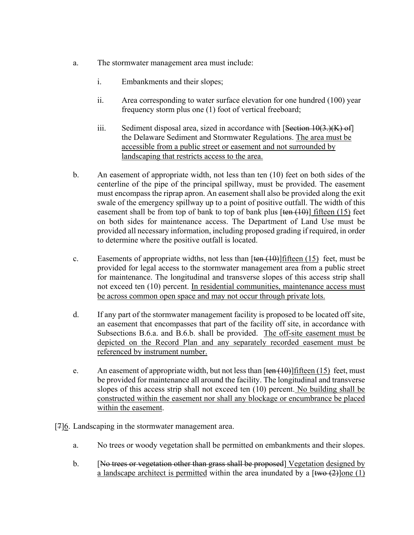- a. The stormwater management area must include:
	- i. Embankments and their slopes;
	- ii. Area corresponding to water surface elevation for one hundred (100) year frequency storm plus one (1) foot of vertical freeboard;
	- iii. Sediment disposal area, sized in accordance with  $[Section 10(3.)$ (K) of the Delaware Sediment and Stormwater Regulations. The area must be accessible from a public street or easement and not surrounded by landscaping that restricts access to the area.
- b. An easement of appropriate width, not less than ten (10) feet on both sides of the centerline of the pipe of the principal spillway, must be provided. The easement must encompass the riprap apron. An easement shall also be provided along the exit swale of the emergency spillway up to a point of positive outfall. The width of this easement shall be from top of bank to top of bank plus  $[ten (10)]$  fifteen (15) feet on both sides for maintenance access. The Department of Land Use must be provided all necessary information, including proposed grading if required, in order to determine where the positive outfall is located.
- c. Easements of appropriate widths, not less than  $[ten (10)]$  fifteen (15) feet, must be provided for legal access to the stormwater management area from a public street for maintenance. The longitudinal and transverse slopes of this access strip shall not exceed ten (10) percent. In residential communities, maintenance access must be across common open space and may not occur through private lots.
- d. If any part of the stormwater management facility is proposed to be located off site, an easement that encompasses that part of the facility off site, in accordance with Subsections B.6.a. and B.6.b. shall be provided. The off-site easement must be depicted on the Record Plan and any separately recorded easement must be referenced by instrument number.
- e. An easement of appropriate width, but not less than  $[\tan(10)]$  fifteen (15) feet, must be provided for maintenance all around the facility. The longitudinal and transverse slopes of this access strip shall not exceed ten (10) percent. No building shall be constructed within the easement nor shall any blockage or encumbrance be placed within the easement.
- [7]<sup>6</sup>. Landscaping in the stormwater management area.
	- a. No trees or woody vegetation shall be permitted on embankments and their slopes.
	- b. [No trees or vegetation other than grass shall be proposed] Vegetation designed by a landscape architect is permitted within the area inundated by a  $[\frac{two (2)}{one (1)}]$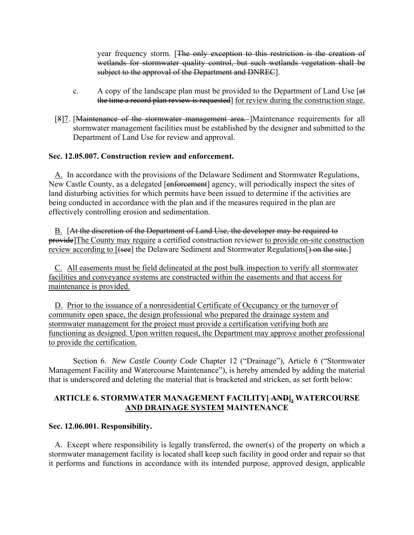year frequency storm. [The only exception to this restriction is the creation of wetlands for stormwater quality control, but such wetlands vegetation shall be subject to the approval of the Department and DNREC].

- c. A copy of the landscape plan must be provided to the Department of Land Use [at the time a record plan review is requested] for review during the construction stage.
- [8]7. [Maintenance of the stormwater management area. ]Maintenance requirements for all stormwater management facilities must be established by the designer and submitted to the Department of Land Use for review and approval.

# **Sec. 12.05.007. Construction review and enforcement.**

A. In accordance with the provisions of the Delaware Sediment and Stormwater Regulations, New Castle County, as a delegated [enforcement] agency, will periodically inspect the sites of land disturbing activities for which permits have been issued to determine if the activities are being conducted in accordance with the plan and if the measures required in the plan are effectively controlling erosion and sedimentation.

B. [At the discretion of the Department of Land Use, the developer may be required to provide]The County may require a certified construction reviewer to provide on-site construction review according to [(see] the Delaware Sediment and Stormwater Regulations[) on the site.]

C. All easements must be field delineated at the post bulk inspection to verify all stormwater facilities and conveyance systems are constructed within the easements and that access for maintenance is provided.

D. Prior to the issuance of a nonresidential Certificate of Occupancy or the turnover of community open space, the design professional who prepared the drainage system and stormwater management for the project must provide a certification verifying both are functioning as designed. Upon written request, the Department may approve another professional to provide the certification.

Section 6. *New Castle County Code* Chapter 12 ("Drainage"), Article 6 ("Stormwater Management Facility and Watercourse Maintenance"), is hereby amended by adding the material that is underscored and deleting the material that is bracketed and stricken, as set forth below:

# **ARTICLE 6. STORMWATER MANAGEMENT FACILITY[ AND], WATERCOURSE AND DRAINAGE SYSTEM MAINTENANCE**

#### **Sec. 12.06.001. Responsibility.**

A. Except where responsibility is legally transferred, the owner(s) of the property on which a stormwater management facility is located shall keep such facility in good order and repair so that it performs and functions in accordance with its intended purpose, approved design, applicable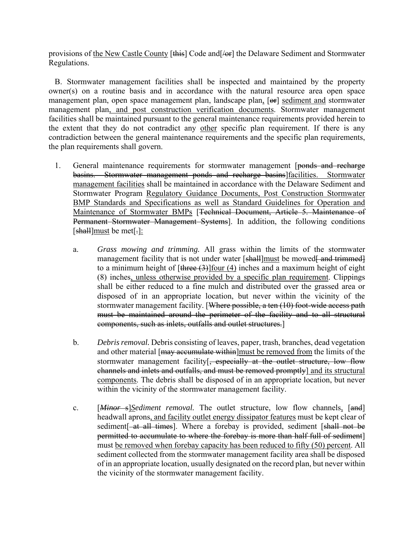provisions of the New Castle County [this] Code and  $\sqrt{\frac{H}{H}}$  the Delaware Sediment and Stormwater Regulations.

B. Stormwater management facilities shall be inspected and maintained by the property owner(s) on a routine basis and in accordance with the natural resource area open space management plan, open space management plan, landscape plan, [or] sediment and stormwater management plan, and post construction verification documents. Stormwater management facilities shall be maintained pursuant to the general maintenance requirements provided herein to the extent that they do not contradict any other specific plan requirement. If there is any contradiction between the general maintenance requirements and the specific plan requirements, the plan requirements shall govern.

- 1. General maintenance requirements for stormwater management [ponds and recharge basins. Stormwater management ponds and recharge basins]facilities. Stormwater management facilities shall be maintained in accordance with the Delaware Sediment and Stormwater Program Regulatory Guidance Documents, Post Construction Stormwater BMP Standards and Specifications as well as Standard Guidelines for Operation and Maintenance of Stormwater BMPs [<del>Technical Document, Article 5. Maintenance of</del> Permanent Stormwater Management Systems]. In addition, the following conditions [shall]must be met[-]:
	- a. *Grass mowing and trimming.* All grass within the limits of the stormwater management facility that is not under water [shall]must be mowed<del>[ and trimmed]</del> to a minimum height of  $[\frac{three(3)}{out(4)}]$  inches and a maximum height of eight (8) inches, unless otherwise provided by a specific plan requirement. Clippings shall be either reduced to a fine mulch and distributed over the grassed area or disposed of in an appropriate location, but never within the vicinity of the stormwater management facility. [Where possible, a ten (10) foot-wide access path must be maintained around the perimeter of the facility and to all structural components, such as inlets, outfalls and outlet structures.]
	- b. *Debris removal.* Debris consisting of leaves, paper, trash, branches, dead vegetation and other material [may accumulate within]must be removed from the limits of the stormwater management facility [, especially at the outlet structure, low flow channels and inlets and outfalls, and must be removed promptly] and its structural components. The debris shall be disposed of in an appropriate location, but never within the vicinity of the stormwater management facility.
	- c. [*Minor* s]*Sediment removal.* The outlet structure, low flow channels, [and] headwall aprons, and facility outlet energy dissipator features must be kept clear of sediment<sup>[-at all times]</sup>. Where a forebay is provided, sediment [shall not be permitted to accumulate to where the forebay is more than half full of sediment] must be removed when forebay capacity has been reduced to fifty (50) percent. All sediment collected from the stormwater management facility area shall be disposed of in an appropriate location, usually designated on the record plan, but never within the vicinity of the stormwater management facility.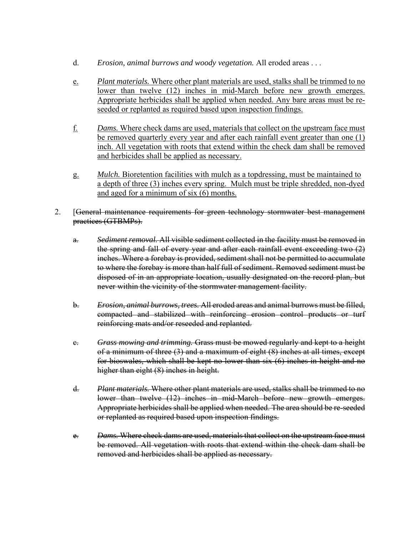- d. *Erosion, animal burrows and woody vegetation.* All eroded areas . . .
- e. *Plant materials.* Where other plant materials are used, stalks shall be trimmed to no lower than twelve (12) inches in mid-March before new growth emerges. Appropriate herbicides shall be applied when needed. Any bare areas must be reseeded or replanted as required based upon inspection findings.
- f. *Dams.* Where check dams are used, materials that collect on the upstream face must be removed quarterly every year and after each rainfall event greater than one (1) inch. All vegetation with roots that extend within the check dam shall be removed and herbicides shall be applied as necessary.
- g. *Mulch.* Bioretention facilities with mulch as a topdressing, must be maintained to a depth of three (3) inches every spring. Mulch must be triple shredded, non-dyed and aged for a minimum of six (6) months.
- 2. [General maintenance requirements for green technology stormwater best management practices (GTBMPs).
	- a. *Sediment removal.* All visible sediment collected in the facility must be removed in the spring and fall of every year and after each rainfall event exceeding two (2) inches. Where a forebay is provided, sediment shall not be permitted to accumulate to where the forebay is more than half full of sediment. Removed sediment must be disposed of in an appropriate location, usually designated on the record plan, but never within the vicinity of the stormwater management facility.
	- b. *Erosion, animal burrows, trees.* All eroded areas and animal burrows must be filled, compacted and stabilized with reinforcing erosion control products or turf reinforcing mats and/or reseeded and replanted.
	- c. *Grass mowing and trimming.* Grass must be mowed regularly and kept to a height of a minimum of three (3) and a maximum of eight (8) inches at all times, except for bioswales, which shall be kept no lower than six (6) inches in height and no higher than eight (8) inches in height.
	- d. *Plant materials.* Where other plant materials are used, stalks shall be trimmed to no lower than twelve (12) inches in mid-March before new growth emerges. Appropriate herbicides shall be applied when needed. The area should be re-seeded or replanted as required based upon inspection findings.
	- e. *Dams.* Where check dams are used, materials that collect on the upstream face must be removed. All vegetation with roots that extend within the check dam shall be removed and herbicides shall be applied as necessary.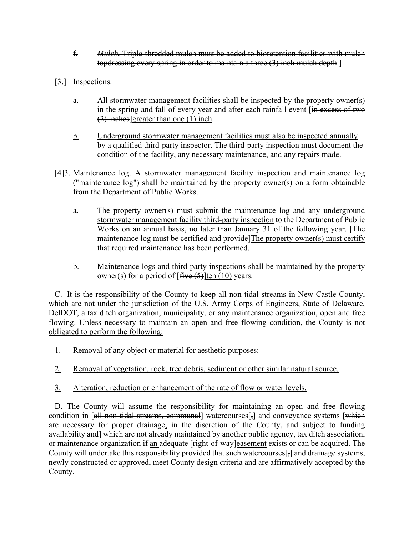- f. *Mulch.* Triple shredded mulch must be added to bioretention facilities with mulch topdressing every spring in order to maintain a three (3) inch mulch depth.]
- [3.] Inspections.
	- a. All stormwater management facilities shall be inspected by the property owner(s) in the spring and fall of every year and after each rainfall event [in excess of two (2) inches]greater than one (1) inch.
	- b. Underground stormwater management facilities must also be inspected annually by a qualified third-party inspector. The third-party inspection must document the condition of the facility, any necessary maintenance, and any repairs made.
- [4]<sup>3</sup>. Maintenance log. A stormwater management facility inspection and maintenance log ("maintenance log") shall be maintained by the property owner(s) on a form obtainable from the Department of Public Works.
	- a. The property owner(s) must submit the maintenance log and any underground stormwater management facility third-party inspection to the Department of Public Works on an annual basis, no later than January 31 of the following year. [The maintenance log must be certified and provide The property owner(s) must certify that required maintenance has been performed.
	- b. Maintenance logs and third-party inspections shall be maintained by the property owner(s) for a period of  $[$ five  $(5)$ ]ten (10) years.

C. It is the responsibility of the County to keep all non-tidal streams in New Castle County, which are not under the jurisdiction of the U.S. Army Corps of Engineers, State of Delaware, DelDOT, a tax ditch organization, municipality, or any maintenance organization, open and free flowing. Unless necessary to maintain an open and free flowing condition, the County is not obligated to perform the following:

- 1. Removal of any object or material for aesthetic purposes:
- 2. Removal of vegetation, rock, tree debris, sediment or other similar natural source.
- 3. Alteration, reduction or enhancement of the rate of flow or water levels.

D. The County will assume the responsibility for maintaining an open and free flowing condition in [all non-tidal streams, communal] watercourses<sup>[-]</sup> and conveyance systems [which] are necessary for proper drainage, in the discretion of the County, and subject to funding availability and] which are not already maintained by another public agency, tax ditch association, or maintenance organization if an adequate [right-of-way]easement exists or can be acquired. The County will undertake this responsibility provided that such watercourses[,] and drainage systems, newly constructed or approved, meet County design criteria and are affirmatively accepted by the County.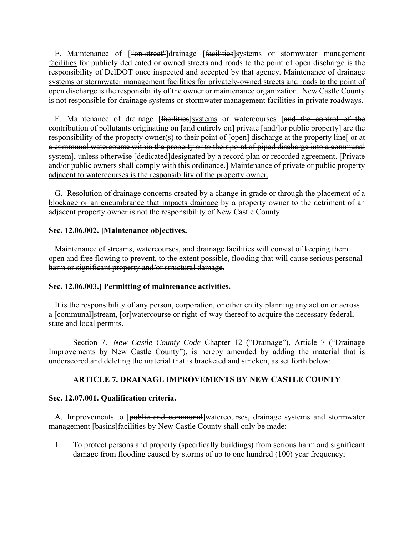E. Maintenance of ["on-street"]drainage [facilities]systems or stormwater management facilities for publicly dedicated or owned streets and roads to the point of open discharge is the responsibility of DelDOT once inspected and accepted by that agency. Maintenance of drainage systems or stormwater management facilities for privately-owned streets and roads to the point of open discharge is the responsibility of the owner or maintenance organization. New Castle County is not responsible for drainage systems or stormwater management facilities in private roadways.

F. Maintenance of drainage [<del>facilities</del>]systems or watercourses [and the control of the contribution of pollutants originating on [and entirely on] private [and/]or public property] are the responsibility of the property owner(s) to their point of [open] discharge at the property line[-or at a communal watercourse within the property or to their point of piped discharge into a communal system], unless otherwise [dedicated]designated by a record plan or recorded agreement. [Private] and/or public owners shall comply with this ordinance.] Maintenance of private or public property adjacent to watercourses is the responsibility of the property owner.

G. Resolution of drainage concerns created by a change in grade or through the placement of a blockage or an encumbrance that impacts drainage by a property owner to the detriment of an adjacent property owner is not the responsibility of New Castle County.

# **Sec. 12.06.002. [Maintenance objectives.**

Maintenance of streams, watercourses, and drainage facilities will consist of keeping them open and free flowing to prevent, to the extent possible, flooding that will cause serious personal harm or significant property and/or structural damage.

#### **Sec. 12.06.003.] Permitting of maintenance activities.**

It is the responsibility of any person, corporation, or other entity planning any act on or across a [communal]stream, [or]watercourse or right-of-way thereof to acquire the necessary federal, state and local permits.

Section 7. *New Castle County Code* Chapter 12 ("Drainage"), Article 7 ("Drainage Improvements by New Castle County"), is hereby amended by adding the material that is underscored and deleting the material that is bracketed and stricken, as set forth below:

# **ARTICLE 7. DRAINAGE IMPROVEMENTS BY NEW CASTLE COUNTY**

#### **Sec. 12.07.001. Qualification criteria.**

A. Improvements to [public and communal]watercourses, drainage systems and stormwater management [basins] facilities by New Castle County shall only be made:

1. To protect persons and property (specifically buildings) from serious harm and significant damage from flooding caused by storms of up to one hundred (100) year frequency;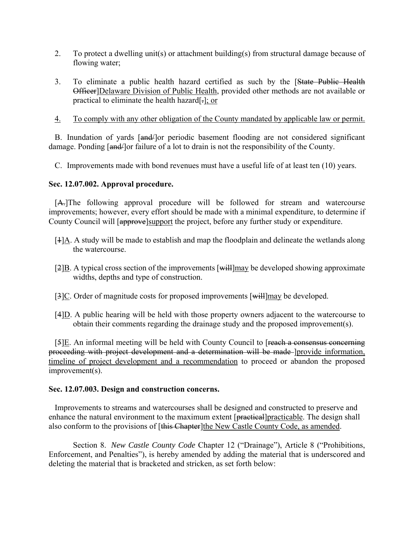- 2. To protect a dwelling unit(s) or attachment building(s) from structural damage because of flowing water;
- 3. To eliminate a public health hazard certified as such by the [State Public Health Officer]Delaware Division of Public Health, provided other methods are not available or practical to eliminate the health hazard[.]; or
- 4. To comply with any other obligation of the County mandated by applicable law or permit.

B. Inundation of yards [and/]or periodic basement flooding are not considered significant damage. Ponding [and | or failure of a lot to drain is not the responsibility of the County.

C. Improvements made with bond revenues must have a useful life of at least ten (10) years.

#### **Sec. 12.07.002. Approval procedure.**

[A.]The following approval procedure will be followed for stream and watercourse improvements; however, every effort should be made with a minimal expenditure, to determine if County Council will [approve]support the project, before any further study or expenditure.

- [1]A. A study will be made to establish and map the floodplain and delineate the wetlands along the watercourse.
- [2]B. A typical cross section of the improvements [will]may be developed showing approximate widths, depths and type of construction.
- [3]C. Order of magnitude costs for proposed improvements [will]may be developed.
- $[4]$ D. A public hearing will be held with those property owners adjacent to the watercourse to obtain their comments regarding the drainage study and the proposed improvement(s).

[5]E. An informal meeting will be held with County Council to [reach a consensus concerning proceeding with project development and a determination will be made [provide information, timeline of project development and a recommendation to proceed or abandon the proposed improvement(s).

#### **Sec. 12.07.003. Design and construction concerns.**

Improvements to streams and watercourses shall be designed and constructed to preserve and enhance the natural environment to the maximum extent [practical]practicable. The design shall also conform to the provisions of [this Chapter]the New Castle County Code, as amended.

Section 8. *New Castle County Code* Chapter 12 ("Drainage"), Article 8 ("Prohibitions, Enforcement, and Penalties"), is hereby amended by adding the material that is underscored and deleting the material that is bracketed and stricken, as set forth below: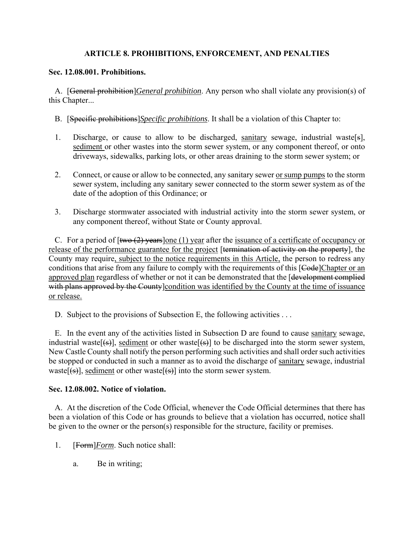# **ARTICLE 8. PROHIBITIONS, ENFORCEMENT, AND PENALTIES**

# **Sec. 12.08.001. Prohibitions.**

A. [General prohibition]*General prohibition*. Any person who shall violate any provision(s) of this Chapter...

- B. [Specific prohibitions]*Specific prohibitions*. It shall be a violation of this Chapter to:
- 1. Discharge, or cause to allow to be discharged, sanitary sewage, industrial waste[s], sediment or other wastes into the storm sewer system, or any component thereof, or onto driveways, sidewalks, parking lots, or other areas draining to the storm sewer system; or
- 2. Connect, or cause or allow to be connected, any sanitary sewer or sump pumps to the storm sewer system, including any sanitary sewer connected to the storm sewer system as of the date of the adoption of this Ordinance; or
- 3. Discharge stormwater associated with industrial activity into the storm sewer system, or any component thereof, without State or County approval.

C. For a period of  $[\text{two (2) years}]$  one (1) year after the issuance of a certificate of occupancy or release of the performance guarantee for the project [termination of activity on the property], the County may require, subject to the notice requirements in this Article, the person to redress any conditions that arise from any failure to comply with the requirements of this [Code]Chapter or an approved plan regardless of whether or not it can be demonstrated that the [development complied with plans approved by the County condition was identified by the County at the time of issuance or release.

D. Subject to the provisions of Subsection E, the following activities ...

E. In the event any of the activities listed in Subsection D are found to cause sanitary sewage, industrial waste  $[6]$ , sediment or other waste  $[6]$  to be discharged into the storm sewer system, New Castle County shall notify the person performing such activities and shall order such activities be stopped or conducted in such a manner as to avoid the discharge of sanitary sewage, industrial waste[ $(\cdot s)$ ], sediment or other waste[ $(\cdot s)$ ] into the storm sewer system.

#### **Sec. 12.08.002. Notice of violation.**

A. At the discretion of the Code Official, whenever the Code Official determines that there has been a violation of this Code or has grounds to believe that a violation has occurred, notice shall be given to the owner or the person(s) responsible for the structure, facility or premises.

- 1. [Form]*Form*. Such notice shall:
	- a. Be in writing;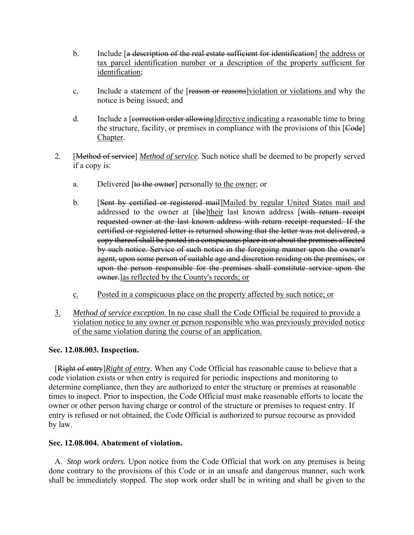- b. Include [a description of the real estate sufficient for identification] the address or tax parcel identification number or a description of the property sufficient for identification;
- c. Include a statement of the [reason or reasons]violation or violations and why the notice is being issued; and
- d. Include a [correction order allowing]directive indicating a reasonable time to bring the structure, facility, or premises in compliance with the provisions of this [Code] Chapter.
- 2. [Method of service] *Method of service*. Such notice shall be deemed to be properly served if a copy is:
	- a. Delivered [to the owner] personally to the owner; or
	- b. [Sent by certified or registered mail]Mailed by regular United States mail and addressed to the owner at [the]their last known address [with return receipt requested owner at the last known address with return receipt requested. If the certified or registered letter is returned showing that the letter was not delivered, a copy thereof shall be posted in a conspicuous place in or about the premises affected by such notice. Service of such notice in the foregoing manner upon the owner's agent, upon some person of suitable age and discretion residing on the premises, or upon the person responsible for the premises shall constitute service upon the owner.]as reflected by the County's records; or
	- c. Posted in a conspicuous place on the property affected by such notice; or
- 3. *Method of service exception*. In no case shall the Code Official be required to provide a violation notice to any owner or person responsible who was previously provided notice of the same violation during the course of an application.

#### **Sec. 12.08.003. Inspection.**

[Right of entry]*Right of entry*. When any Code Official has reasonable cause to believe that a code violation exists or when entry is required for periodic inspections and monitoring to determine compliance, then they are authorized to enter the structure or premises at reasonable times to inspect. Prior to inspection, the Code Official must make reasonable efforts to locate the owner or other person having charge or control of the structure or premises to request entry. If entry is refused or not obtained, the Code Official is authorized to pursue recourse as provided by law.

# **Sec. 12.08.004. Abatement of violation.**

A. *Stop work orders.* Upon notice from the Code Official that work on any premises is being done contrary to the provisions of this Code or in an unsafe and dangerous manner, such work shall be immediately stopped. The stop work order shall be in writing and shall be given to the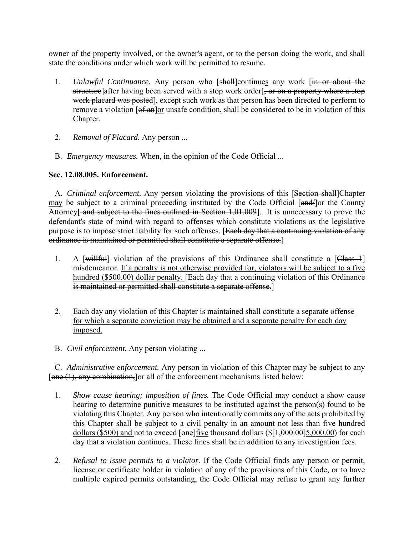owner of the property involved, or the owner's agent, or to the person doing the work, and shall state the conditions under which work will be permitted to resume.

- 1. *Unlawful Continuance.* Any person who [shall]continues any work [in or about the structure]after having been served with a stop work order[, or on a property where a stop work placard was posted], except such work as that person has been directed to perform to remove a violation [of an]or unsafe condition, shall be considered to be in violation of this Chapter.
- 2. *Removal of Placard.* Any person ...
- B. *Emergency measures.* When, in the opinion of the Code Official ...

# **Sec. 12.08.005. Enforcement.**

A. *Criminal enforcement*. Any person violating the provisions of this [Section shall]Chapter may be subject to a criminal proceeding instituted by the Code Official [and-| or the County Attorney<del>[ and subject to the fines outlined in Section 1.01.009]</del>. It is unnecessary to prove the defendant's state of mind with regard to offenses which constitute violations as the legislative purpose is to impose strict liability for such offenses. [Each day that a continuing violation of any ordinance is maintained or permitted shall constitute a separate offense.]

- 1. A  $[$ willfull violation of the provisions of this Ordinance shall constitute a  $[Class 1]$ misdemeanor. If a penalty is not otherwise provided for, violators will be subject to a five hundred (\$500.00) dollar penalty. [Each day that a continuing violation of this Ordinance is maintained or permitted shall constitute a separate offense.]
- 2. Each day any violation of this Chapter is maintained shall constitute a separate offense for which a separate conviction may be obtained and a separate penalty for each day imposed.
- B. *Civil enforcement.* Any person violating ...

C. *Administrative enforcement.* Any person in violation of this Chapter may be subject to any [one (1), any combination, or all of the enforcement mechanisms listed below:

- 1. *Show cause hearing; imposition of fines.* The Code Official may conduct a show cause hearing to determine punitive measures to be instituted against the person(s) found to be violating this Chapter. Any person who intentionally commits any of the acts prohibited by this Chapter shall be subject to a civil penalty in an amount not less than five hundred dollars (\$500) and not to exceed  $\lceil \theta n \cdot \theta \rceil$  five thousand dollars (\$ $\lceil 1,000.00 \rceil$ 5,000.00) for each day that a violation continues. These fines shall be in addition to any investigation fees.
- 2. *Refusal to issue permits to a violator.* If the Code Official finds any person or permit, license or certificate holder in violation of any of the provisions of this Code, or to have multiple expired permits outstanding, the Code Official may refuse to grant any further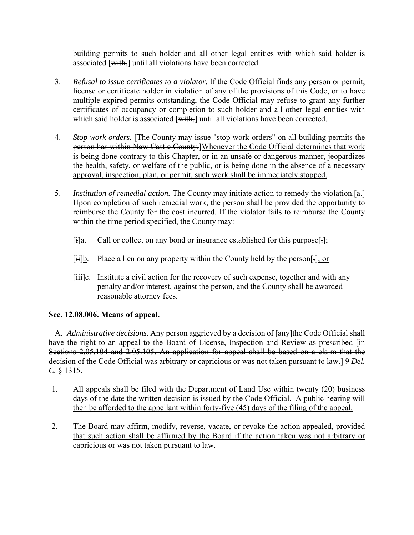building permits to such holder and all other legal entities with which said holder is associated [with,] until all violations have been corrected.

- 3. *Refusal to issue certificates to a violator.* If the Code Official finds any person or permit, license or certificate holder in violation of any of the provisions of this Code, or to have multiple expired permits outstanding, the Code Official may refuse to grant any further certificates of occupancy or completion to such holder and all other legal entities with which said holder is associated [with,] until all violations have been corrected.
- 4. *Stop work orders.* [The County may issue "stop work orders" on all building permits the person has within New Castle County.]Whenever the Code Official determines that work is being done contrary to this Chapter, or in an unsafe or dangerous manner, jeopardizes the health, safety, or welfare of the public, or is being done in the absence of a necessary approval, inspection, plan, or permit, such work shall be immediately stopped.
- 5. *Institution of remedial action.* The County may initiate action to remedy the violation.[a.] Upon completion of such remedial work, the person shall be provided the opportunity to reimburse the County for the cost incurred. If the violator fails to reimburse the County within the time period specified, the County may:
	- $[i]$ <u>a</u>. Call or collect on any bond or insurance established for this purpose[ $\cdot$ ];
	- $[i]$ b. Place a lien on any property within the County held by the person[ $\cdot$ ]; or
	- $[\ddot{\text{iii}}]c$ . Institute a civil action for the recovery of such expense, together and with any penalty and/or interest, against the person, and the County shall be awarded reasonable attorney fees.

# **Sec. 12.08.006. Means of appeal.**

A. *Administrative decisions*. Any person aggrieved by a decision of [any] the Code Official shall have the right to an appeal to the Board of License, Inspection and Review as prescribed [in Sections 2.05.104 and 2.05.105. An application for appeal shall be based on a claim that the decision of the Code Official was arbitrary or capricious or was not taken pursuant to law.] 9 *Del. C.* § 1315.

- 1. All appeals shall be filed with the Department of Land Use within twenty (20) business days of the date the written decision is issued by the Code Official. A public hearing will then be afforded to the appellant within forty-five (45) days of the filing of the appeal.
- 2. The Board may affirm, modify, reverse, vacate, or revoke the action appealed, provided that such action shall be affirmed by the Board if the action taken was not arbitrary or capricious or was not taken pursuant to law.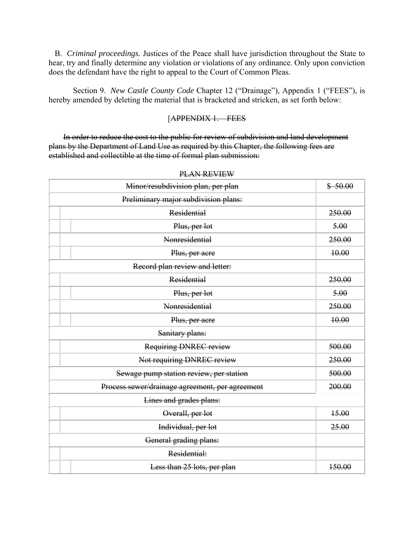B. *Criminal proceedings.* Justices of the Peace shall have jurisdiction throughout the State to hear, try and finally determine any violation or violations of any ordinance. Only upon conviction does the defendant have the right to appeal to the Court of Common Pleas.

Section 9. *New Castle County Code* Chapter 12 ("Drainage"), Appendix 1 ("FEES"), is hereby amended by deleting the material that is bracketed and stricken, as set forth below:

#### [APPENDIX 1. – FEES

In order to reduce the cost to the public for review of subdivision and land development plans by the Department of Land Use as required by this Chapter, the following fees are established and collectible at the time of formal plan submission:

|                                                 | Minor/resubdivision plan, per plan | \$50.00 |  |  |
|-------------------------------------------------|------------------------------------|---------|--|--|
|                                                 |                                    |         |  |  |
|                                                 | <b>Residential</b>                 | 250.00  |  |  |
|                                                 | Plus, per lot                      | 5.00    |  |  |
|                                                 | Nonresidential                     | 250.00  |  |  |
|                                                 | Plus, per acre                     | 10.00   |  |  |
| Record plan review and letter:                  |                                    |         |  |  |
|                                                 | <b>Residential</b>                 | 250.00  |  |  |
|                                                 | Plus, per lot                      | 5.00    |  |  |
|                                                 | <b>Nonresidential</b>              | 250.00  |  |  |
|                                                 | Plus, per acre                     | 10.00   |  |  |
| Sanitary plans:                                 |                                    |         |  |  |
|                                                 | <b>Requiring DNREC review</b>      | 500.00  |  |  |
|                                                 | Not requiring DNREC review         | 250.00  |  |  |
| Sewage pump station review, per station         |                                    | 500.00  |  |  |
| Process sewer/drainage agreement, per agreement |                                    | 200.00  |  |  |
| Lines and grades plans:                         |                                    |         |  |  |
|                                                 | Overall, per lot                   | 15.00   |  |  |
|                                                 | Individual, per lot                | 25.00   |  |  |
| General grading plans:                          |                                    |         |  |  |
|                                                 | Residential:                       |         |  |  |
|                                                 | Less than 25 lots, per plan        | 150.00  |  |  |

#### PLAN REVIEW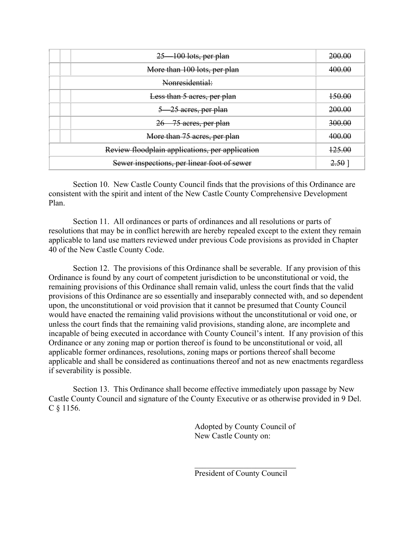|                                                 | $25 - 100$ lots, per plan    | 200.00   |
|-------------------------------------------------|------------------------------|----------|
|                                                 | More than 100 lots, per plan | 400.00   |
| Nonresidential:                                 |                              |          |
|                                                 | Less than 5 acres, per plan  | 150.00   |
|                                                 | 5 25 acres, per plan         | 200.00   |
|                                                 | 26 75 acres, per plan        | 300.00   |
|                                                 | More than 75 acres, per plan | 400.00   |
| Review floodplain applications, per application |                              | 125.00   |
| Sewer inspections, per linear foot of sewer     |                              | $2.50$ ] |

 Section 10. New Castle County Council finds that the provisions of this Ordinance are consistent with the spirit and intent of the New Castle County Comprehensive Development Plan.

 Section 11. All ordinances or parts of ordinances and all resolutions or parts of resolutions that may be in conflict herewith are hereby repealed except to the extent they remain applicable to land use matters reviewed under previous Code provisions as provided in Chapter 40 of the New Castle County Code.

 Section 12. The provisions of this Ordinance shall be severable. If any provision of this Ordinance is found by any court of competent jurisdiction to be unconstitutional or void, the remaining provisions of this Ordinance shall remain valid, unless the court finds that the valid provisions of this Ordinance are so essentially and inseparably connected with, and so dependent upon, the unconstitutional or void provision that it cannot be presumed that County Council would have enacted the remaining valid provisions without the unconstitutional or void one, or unless the court finds that the remaining valid provisions, standing alone, are incomplete and incapable of being executed in accordance with County Council's intent. If any provision of this Ordinance or any zoning map or portion thereof is found to be unconstitutional or void, all applicable former ordinances, resolutions, zoning maps or portions thereof shall become applicable and shall be considered as continuations thereof and not as new enactments regardless if severability is possible.

 Section 13. This Ordinance shall become effective immediately upon passage by New Castle County Council and signature of the County Executive or as otherwise provided in 9 Del.  $C \$ § 1156.

> Adopted by County Council of New Castle County on:

President of County Council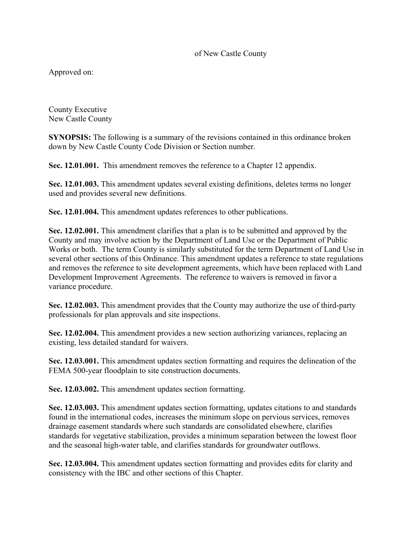# of New Castle County

Approved on:

County Executive New Castle County

**SYNOPSIS:** The following is a summary of the revisions contained in this ordinance broken down by New Castle County Code Division or Section number.

**Sec. 12.01.001.** This amendment removes the reference to a Chapter 12 appendix.

**Sec. 12.01.003.** This amendment updates several existing definitions, deletes terms no longer used and provides several new definitions.

**Sec. 12.01.004.** This amendment updates references to other publications.

**Sec. 12.02.001.** This amendment clarifies that a plan is to be submitted and approved by the County and may involve action by the Department of Land Use or the Department of Public Works or both. The term County is similarly substituted for the term Department of Land Use in several other sections of this Ordinance. This amendment updates a reference to state regulations and removes the reference to site development agreements, which have been replaced with Land Development Improvement Agreements. The reference to waivers is removed in favor a variance procedure.

**Sec. 12.02.003.** This amendment provides that the County may authorize the use of third-party professionals for plan approvals and site inspections.

**Sec. 12.02.004.** This amendment provides a new section authorizing variances, replacing an existing, less detailed standard for waivers.

**Sec. 12.03.001.** This amendment updates section formatting and requires the delineation of the FEMA 500-year floodplain to site construction documents.

**Sec. 12.03.002.** This amendment updates section formatting.

**Sec. 12.03.003.** This amendment updates section formatting, updates citations to and standards found in the international codes, increases the minimum slope on pervious services, removes drainage easement standards where such standards are consolidated elsewhere, clarifies standards for vegetative stabilization, provides a minimum separation between the lowest floor and the seasonal high-water table, and clarifies standards for groundwater outflows.

**Sec. 12.03.004.** This amendment updates section formatting and provides edits for clarity and consistency with the IBC and other sections of this Chapter.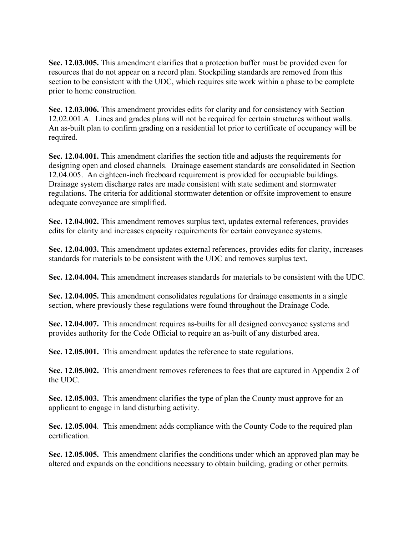**Sec. 12.03.005.** This amendment clarifies that a protection buffer must be provided even for resources that do not appear on a record plan. Stockpiling standards are removed from this section to be consistent with the UDC, which requires site work within a phase to be complete prior to home construction.

**Sec. 12.03.006.** This amendment provides edits for clarity and for consistency with Section 12.02.001.A. Lines and grades plans will not be required for certain structures without walls. An as-built plan to confirm grading on a residential lot prior to certificate of occupancy will be required.

**Sec. 12.04.001.** This amendment clarifies the section title and adjusts the requirements for designing open and closed channels. Drainage easement standards are consolidated in Section 12.04.005. An eighteen-inch freeboard requirement is provided for occupiable buildings. Drainage system discharge rates are made consistent with state sediment and stormwater regulations. The criteria for additional stormwater detention or offsite improvement to ensure adequate conveyance are simplified.

**Sec. 12.04.002.** This amendment removes surplus text, updates external references, provides edits for clarity and increases capacity requirements for certain conveyance systems.

**Sec. 12.04.003.** This amendment updates external references, provides edits for clarity, increases standards for materials to be consistent with the UDC and removes surplus text.

**Sec. 12.04.004.** This amendment increases standards for materials to be consistent with the UDC.

**Sec. 12.04.005.** This amendment consolidates regulations for drainage easements in a single section, where previously these regulations were found throughout the Drainage Code.

**Sec. 12.04.007.** This amendment requires as-builts for all designed conveyance systems and provides authority for the Code Official to require an as-built of any disturbed area.

**Sec. 12.05.001.** This amendment updates the reference to state regulations.

**Sec. 12.05.002.** This amendment removes references to fees that are captured in Appendix 2 of the UDC.

**Sec. 12.05.003.** This amendment clarifies the type of plan the County must approve for an applicant to engage in land disturbing activity.

**Sec. 12.05.004**. This amendment adds compliance with the County Code to the required plan certification.

**Sec. 12.05.005.** This amendment clarifies the conditions under which an approved plan may be altered and expands on the conditions necessary to obtain building, grading or other permits.